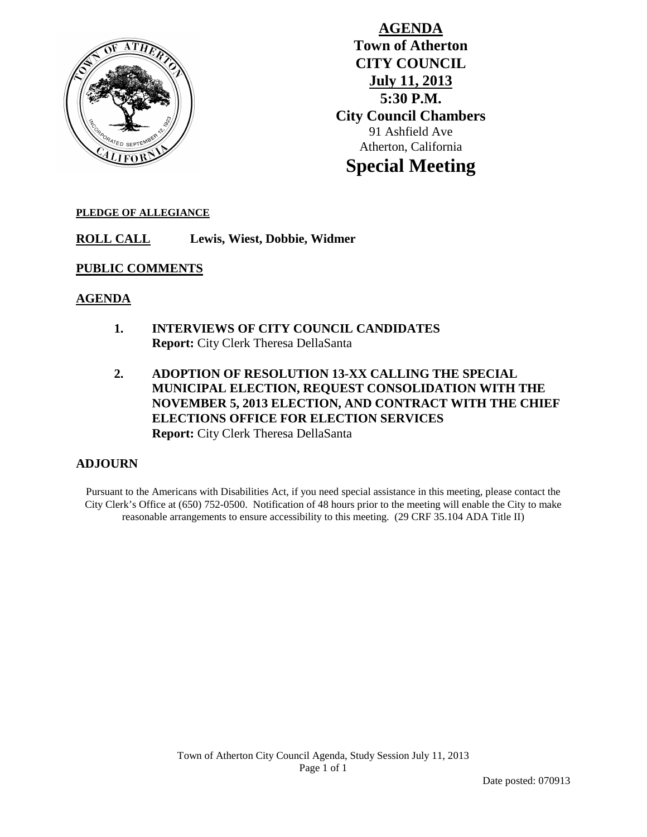

**AGENDA Town of Atherton CITY COUNCIL July 11, 2013 5:30 P.M. City Council Chambers** 91 Ashfield Ave Atherton, California **Special Meeting**

## **PLEDGE OF ALLEGIANCE**

**ROLL CALL Lewis, Wiest, Dobbie, Widmer**

## **PUBLIC COMMENTS**

## **AGENDA**

- **1. INTERVIEWS OF CITY COUNCIL CANDIDATES Report:** City Clerk Theresa DellaSanta
- **2. ADOPTION OF RESOLUTION 13-XX CALLING THE SPECIAL MUNICIPAL ELECTION, REQUEST CONSOLIDATION WITH THE NOVEMBER 5, 2013 ELECTION, AND CONTRACT WITH THE CHIEF ELECTIONS OFFICE FOR ELECTION SERVICES Report:** City Clerk Theresa DellaSanta

## **ADJOURN**

Pursuant to the Americans with Disabilities Act, if you need special assistance in this meeting, please contact the City Clerk's Office at (650) 752-0500. Notification of 48 hours prior to the meeting will enable the City to make reasonable arrangements to ensure accessibility to this meeting. (29 CRF 35.104 ADA Title II)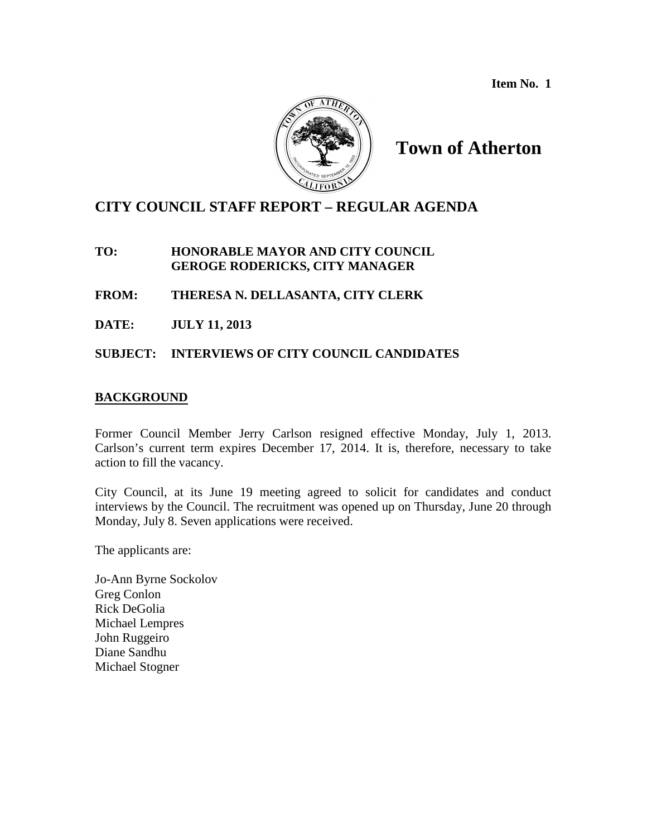**Item No. 1**



**Town of Atherton**

## **CITY COUNCIL STAFF REPORT – REGULAR AGENDA**

**TO: HONORABLE MAYOR AND CITY COUNCIL GEROGE RODERICKS, CITY MANAGER**

**FROM: THERESA N. DELLASANTA, CITY CLERK**

**DATE: JULY 11, 2013**

**SUBJECT: INTERVIEWS OF CITY COUNCIL CANDIDATES**

## **BACKGROUND**

Former Council Member Jerry Carlson resigned effective Monday, July 1, 2013. Carlson's current term expires December 17, 2014. It is, therefore, necessary to take action to fill the vacancy.

City Council, at its June 19 meeting agreed to solicit for candidates and conduct interviews by the Council. The recruitment was opened up on Thursday, June 20 through Monday, July 8. Seven applications were received.

The applicants are:

Jo-Ann Byrne Sockolov Greg Conlon Rick DeGolia Michael Lempres John Ruggeiro Diane Sandhu Michael Stogner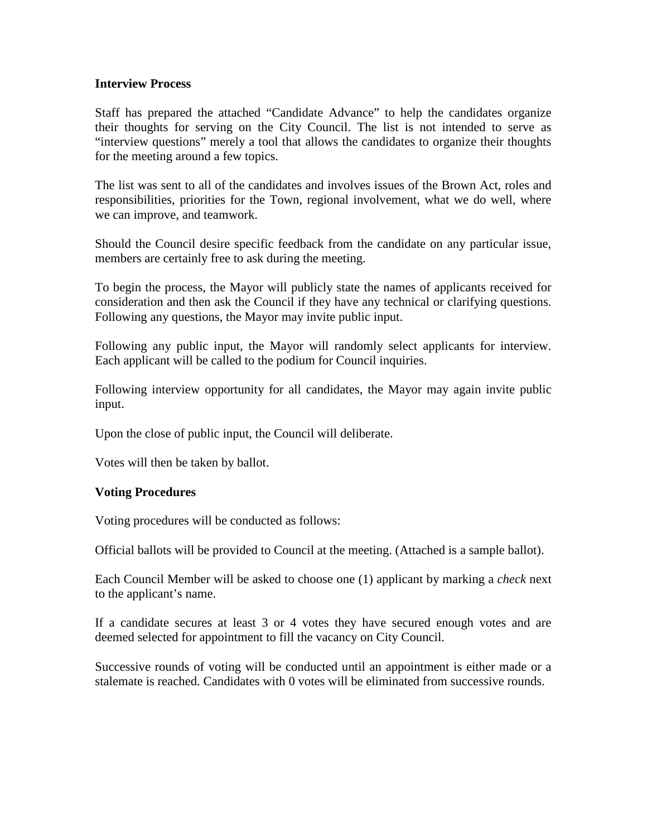## **Interview Process**

Staff has prepared the attached "Candidate Advance" to help the candidates organize their thoughts for serving on the City Council. The list is not intended to serve as "interview questions" merely a tool that allows the candidates to organize their thoughts for the meeting around a few topics.

The list was sent to all of the candidates and involves issues of the Brown Act, roles and responsibilities, priorities for the Town, regional involvement, what we do well, where we can improve, and teamwork.

Should the Council desire specific feedback from the candidate on any particular issue, members are certainly free to ask during the meeting.

To begin the process, the Mayor will publicly state the names of applicants received for consideration and then ask the Council if they have any technical or clarifying questions. Following any questions, the Mayor may invite public input.

Following any public input, the Mayor will randomly select applicants for interview. Each applicant will be called to the podium for Council inquiries.

Following interview opportunity for all candidates, the Mayor may again invite public input.

Upon the close of public input, the Council will deliberate.

Votes will then be taken by ballot.

## **Voting Procedures**

Voting procedures will be conducted as follows:

Official ballots will be provided to Council at the meeting. (Attached is a sample ballot).

Each Council Member will be asked to choose one (1) applicant by marking a *check* next to the applicant's name.

If a candidate secures at least 3 or 4 votes they have secured enough votes and are deemed selected for appointment to fill the vacancy on City Council.

Successive rounds of voting will be conducted until an appointment is either made or a stalemate is reached. Candidates with 0 votes will be eliminated from successive rounds.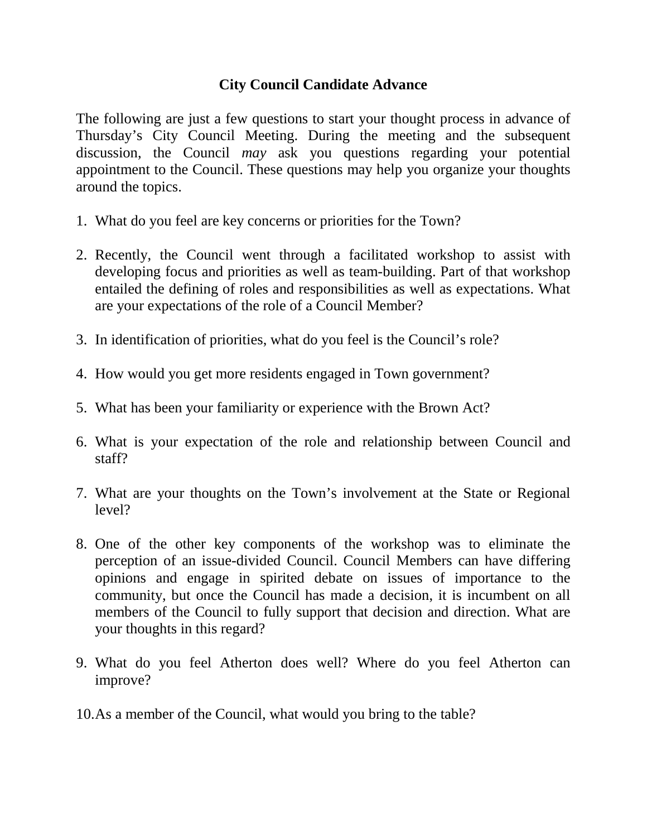# **City Council Candidate Advance**

The following are just a few questions to start your thought process in advance of Thursday's City Council Meeting. During the meeting and the subsequent discussion, the Council *may* ask you questions regarding your potential appointment to the Council. These questions may help you organize your thoughts around the topics.

- 1. What do you feel are key concerns or priorities for the Town?
- 2. Recently, the Council went through a facilitated workshop to assist with developing focus and priorities as well as team-building. Part of that workshop entailed the defining of roles and responsibilities as well as expectations. What are your expectations of the role of a Council Member?
- 3. In identification of priorities, what do you feel is the Council's role?
- 4. How would you get more residents engaged in Town government?
- 5. What has been your familiarity or experience with the Brown Act?
- 6. What is your expectation of the role and relationship between Council and staff?
- 7. What are your thoughts on the Town's involvement at the State or Regional level?
- 8. One of the other key components of the workshop was to eliminate the perception of an issue-divided Council. Council Members can have differing opinions and engage in spirited debate on issues of importance to the community, but once the Council has made a decision, it is incumbent on all members of the Council to fully support that decision and direction. What are your thoughts in this regard?
- 9. What do you feel Atherton does well? Where do you feel Atherton can improve?
- 10.As a member of the Council, what would you bring to the table?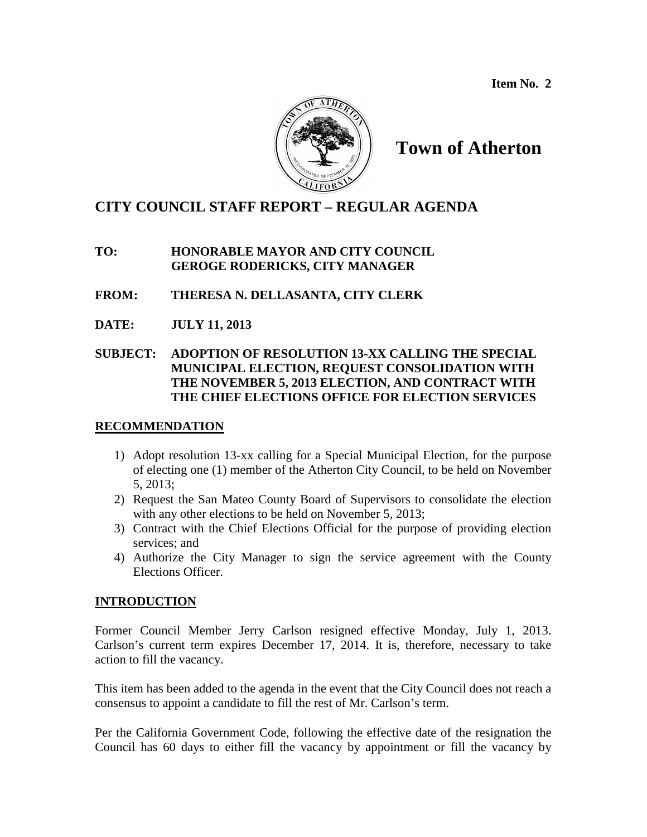**Item No. 2**



# **Town of Atherton**

## **CITY COUNCIL STAFF REPORT – REGULAR AGENDA**

## **TO: HONORABLE MAYOR AND CITY COUNCIL GEROGE RODERICKS, CITY MANAGER**

- **FROM: THERESA N. DELLASANTA, CITY CLERK**
- **DATE: JULY 11, 2013**

## **SUBJECT: ADOPTION OF RESOLUTION 13-XX CALLING THE SPECIAL MUNICIPAL ELECTION, REQUEST CONSOLIDATION WITH THE NOVEMBER 5, 2013 ELECTION, AND CONTRACT WITH THE CHIEF ELECTIONS OFFICE FOR ELECTION SERVICES**

## **RECOMMENDATION**

- 1) Adopt resolution 13-xx calling for a Special Municipal Election, for the purpose of electing one (1) member of the Atherton City Council, to be held on November 5, 2013;
- 2) Request the San Mateo County Board of Supervisors to consolidate the election with any other elections to be held on November 5, 2013;
- 3) Contract with the Chief Elections Official for the purpose of providing election services; and
- 4) Authorize the City Manager to sign the service agreement with the County Elections Officer.

## **INTRODUCTION**

Former Council Member Jerry Carlson resigned effective Monday, July 1, 2013. Carlson's current term expires December 17, 2014. It is, therefore, necessary to take action to fill the vacancy.

This item has been added to the agenda in the event that the City Council does not reach a consensus to appoint a candidate to fill the rest of Mr. Carlson's term.

Per the California Government Code, following the effective date of the resignation the Council has 60 days to either fill the vacancy by appointment or fill the vacancy by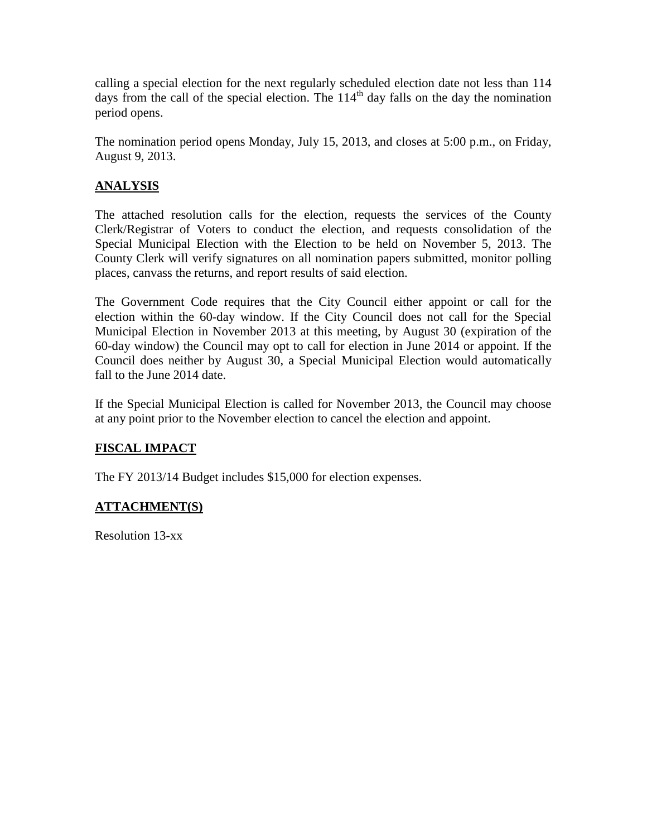calling a special election for the next regularly scheduled election date not less than 114 days from the call of the special election. The  $114<sup>th</sup>$  day falls on the day the nomination period opens.

The nomination period opens Monday, July 15, 2013, and closes at 5:00 p.m., on Friday, August 9, 2013.

## **ANALYSIS**

The attached resolution calls for the election, requests the services of the County Clerk/Registrar of Voters to conduct the election, and requests consolidation of the Special Municipal Election with the Election to be held on November 5, 2013. The County Clerk will verify signatures on all nomination papers submitted, monitor polling places, canvass the returns, and report results of said election.

The Government Code requires that the City Council either appoint or call for the election within the 60-day window. If the City Council does not call for the Special Municipal Election in November 2013 at this meeting, by August 30 (expiration of the 60-day window) the Council may opt to call for election in June 2014 or appoint. If the Council does neither by August 30, a Special Municipal Election would automatically fall to the June 2014 date.

If the Special Municipal Election is called for November 2013, the Council may choose at any point prior to the November election to cancel the election and appoint.

## **FISCAL IMPACT**

The FY 2013/14 Budget includes \$15,000 for election expenses.

## **ATTACHMENT(S)**

Resolution 13-xx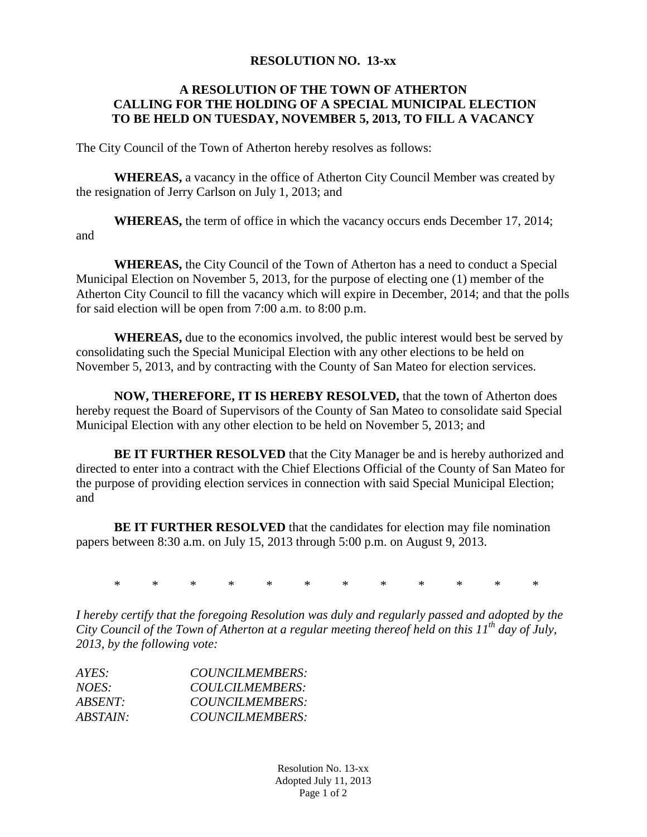## **RESOLUTION NO. 13-xx**

## **A RESOLUTION OF THE TOWN OF ATHERTON CALLING FOR THE HOLDING OF A SPECIAL MUNICIPAL ELECTION TO BE HELD ON TUESDAY, NOVEMBER 5, 2013, TO FILL A VACANCY**

The City Council of the Town of Atherton hereby resolves as follows:

**WHEREAS,** a vacancy in the office of Atherton City Council Member was created by the resignation of Jerry Carlson on July 1, 2013; and

**WHEREAS,** the term of office in which the vacancy occurs ends December 17, 2014; and

**WHEREAS,** the City Council of the Town of Atherton has a need to conduct a Special Municipal Election on November 5, 2013, for the purpose of electing one (1) member of the Atherton City Council to fill the vacancy which will expire in December, 2014; and that the polls for said election will be open from 7:00 a.m. to 8:00 p.m.

**WHEREAS,** due to the economics involved, the public interest would best be served by consolidating such the Special Municipal Election with any other elections to be held on November 5, 2013, and by contracting with the County of San Mateo for election services.

**NOW, THEREFORE, IT IS HEREBY RESOLVED,** that the town of Atherton does hereby request the Board of Supervisors of the County of San Mateo to consolidate said Special Municipal Election with any other election to be held on November 5, 2013; and

**BE IT FURTHER RESOLVED** that the City Manager be and is hereby authorized and directed to enter into a contract with the Chief Elections Official of the County of San Mateo for the purpose of providing election services in connection with said Special Municipal Election; and

**BE IT FURTHER RESOLVED** that the candidates for election may file nomination papers between 8:30 a.m. on July 15, 2013 through 5:00 p.m. on August 9, 2013.

\* \* \* \* \* \* \* \* \* \* \* \*

*I hereby certify that the foregoing Resolution was duly and regularly passed and adopted by the City Council of the Town of Atherton at a regular meeting thereof held on this 11th day of July, 2013, by the following vote:*

| $AYES^+$        | COUNCILMEMBERS: |
|-----------------|-----------------|
| NOES:           | COULCILMEMBERS: |
| $ABSENT \cdot$  | COUNCILMEMBERS: |
| <i>ABSTAIN:</i> | COUNCILMEMBERS: |

Resolution No. 13-xx Adopted July 11, 2013 Page 1 of 2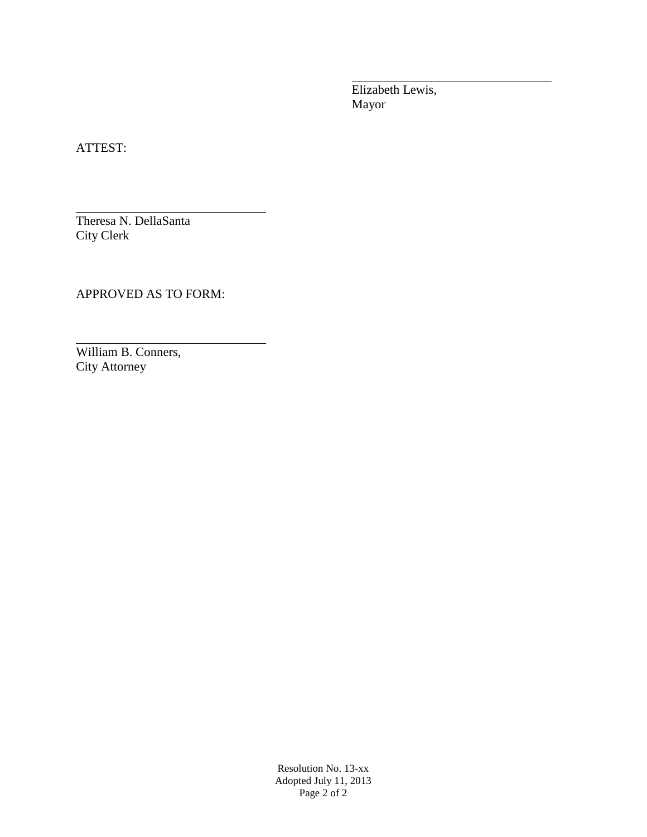Elizabeth Lewis, Mayor

ATTEST:

Theresa N. DellaSanta City Clerk

APPROVED AS TO FORM:

William B. Conners, City Attorney

> Resolution No. 13-xx Adopted July 11, 2013 Page 2 of 2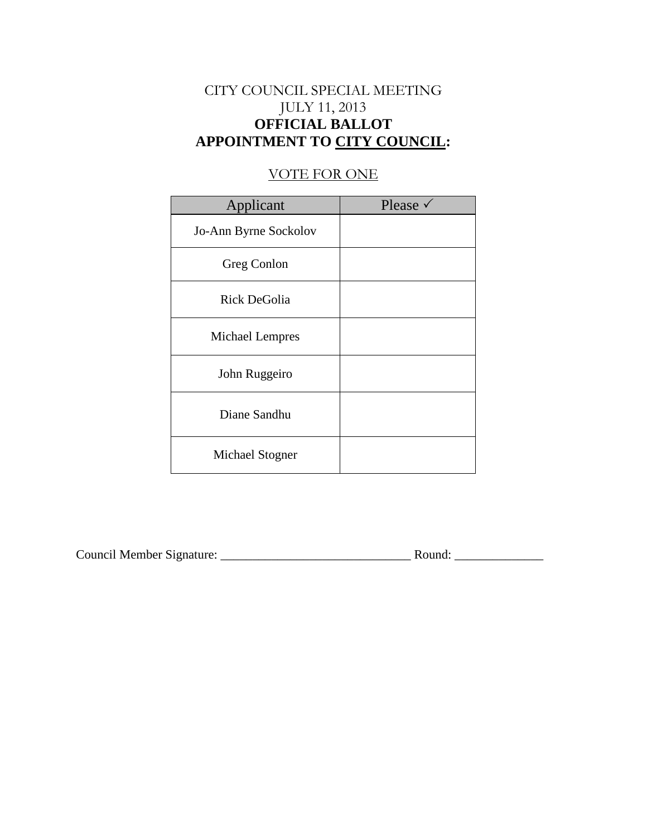# CITY COUNCIL SPECIAL MEETING JULY 11, 2013 **OFFICIAL BALLOT APPOINTMENT TO CITY COUNCIL:**

## VOTE FOR ONE

| Applicant             | Please $\checkmark$ |
|-----------------------|---------------------|
| Jo-Ann Byrne Sockolov |                     |
| Greg Conlon           |                     |
| <b>Rick DeGolia</b>   |                     |
| Michael Lempres       |                     |
| John Ruggeiro         |                     |
| Diane Sandhu          |                     |
| Michael Stogner       |                     |

| Council Member Signature: |  | Round: |
|---------------------------|--|--------|
|---------------------------|--|--------|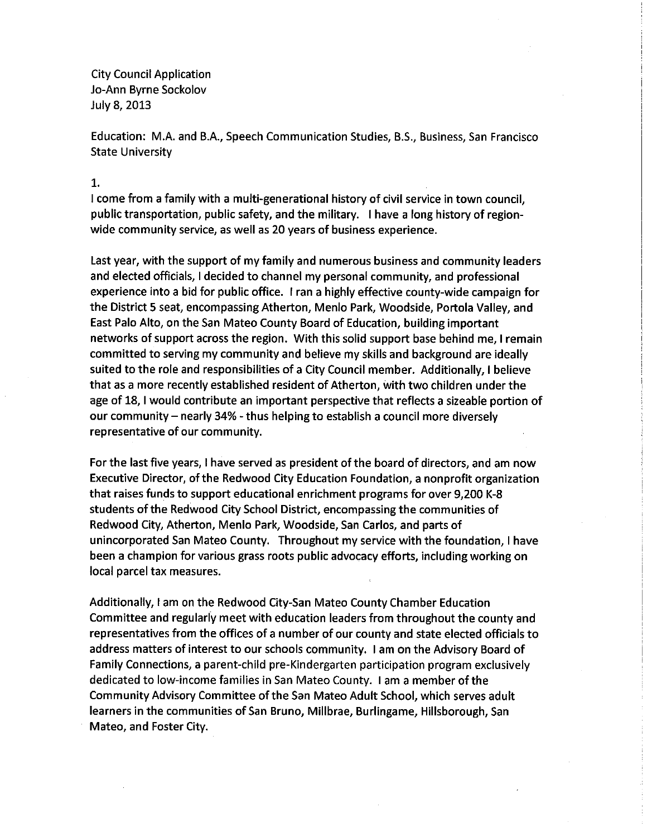**City Council Application** Jo-Ann Byrne Sockolov July 8, 2013

Education: M.A. and B.A., Speech Communication Studies, B.S., Business, San Francisco **State University** 

1.

I come from a family with a multi-generational history of civil service in town council. public transportation, public safety, and the military. I have a long history of regionwide community service, as well as 20 years of business experience.

Last year, with the support of my family and numerous business and community leaders and elected officials, I decided to channel my personal community, and professional experience into a bid for public office. I ran a highly effective county-wide campaign for the District 5 seat, encompassing Atherton, Menlo Park, Woodside, Portola Valley, and East Palo Alto, on the San Mateo County Board of Education, building important networks of support across the region. With this solid support base behind me, I remain committed to serving my community and believe my skills and background are ideally suited to the role and responsibilities of a City Council member. Additionally, I believe that as a more recently established resident of Atherton, with two children under the age of 18, I would contribute an important perspective that reflects a sizeable portion of our community – nearly 34% - thus helping to establish a council more diversely representative of our community.

For the last five years, I have served as president of the board of directors, and am now Executive Director, of the Redwood City Education Foundation, a nonprofit organization that raises funds to support educational enrichment programs for over 9,200 K-8 students of the Redwood City School District, encompassing the communities of Redwood City, Atherton, Menlo Park, Woodside, San Carlos, and parts of unincorporated San Mateo County. Throughout my service with the foundation, I have been a champion for various grass roots public advocacy efforts, including working on local parcel tax measures.

Additionally, I am on the Redwood City-San Mateo County Chamber Education Committee and regularly meet with education leaders from throughout the county and representatives from the offices of a number of our county and state elected officials to address matters of interest to our schools community. I am on the Advisory Board of Family Connections, a parent-child pre-Kindergarten participation program exclusively dedicated to low-income families in San Mateo County. I am a member of the Community Advisory Committee of the San Mateo Adult School, which serves adult learners in the communities of San Bruno, Millbrae, Burlingame, Hillsborough, San Mateo, and Foster City.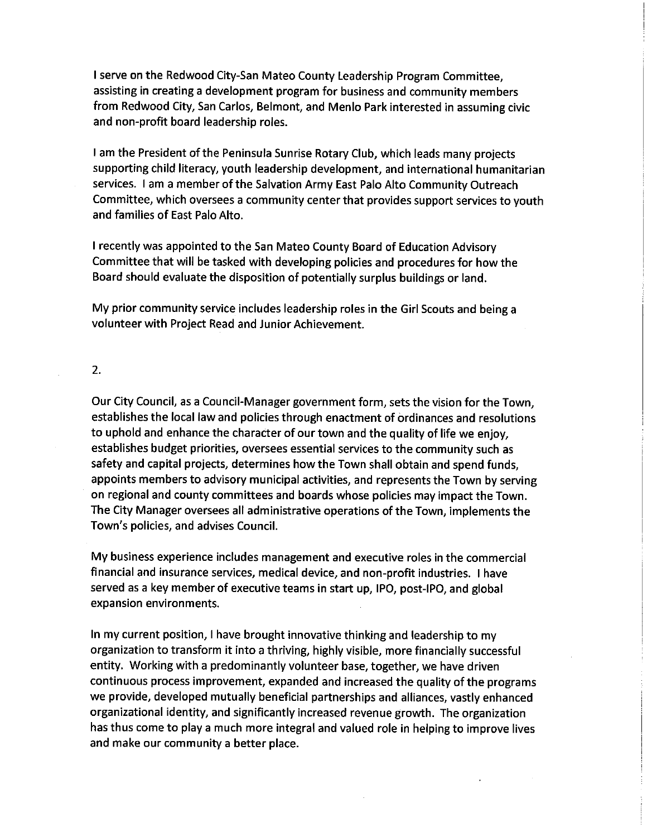I serve on the Redwood City-San Mateo County Leadership Program Committee. assisting in creating a development program for business and community members from Redwood City, San Carlos, Belmont, and Menlo Park interested in assuming civic and non-profit board leadership roles.

I am the President of the Peninsula Sunrise Rotary Club, which leads many projects supporting child literacy, youth leadership development, and international humanitarian services. I am a member of the Salvation Army East Palo Alto Community Outreach Committee, which oversees a community center that provides support services to youth and families of East Palo Alto.

I recently was appointed to the San Mateo County Board of Education Advisory Committee that will be tasked with developing policies and procedures for how the Board should evaluate the disposition of potentially surplus buildings or land.

My prior community service includes leadership roles in the Girl Scouts and being a volunteer with Project Read and Junior Achievement.

#### 2.

Our City Council, as a Council-Manager government form, sets the vision for the Town, establishes the local law and policies through enactment of ordinances and resolutions to uphold and enhance the character of our town and the quality of life we enjoy, establishes budget priorities, oversees essential services to the community such as safety and capital projects, determines how the Town shall obtain and spend funds, appoints members to advisory municipal activities, and represents the Town by serving on regional and county committees and boards whose policies may impact the Town. The City Manager oversees all administrative operations of the Town, implements the Town's policies, and advises Council.

My business experience includes management and executive roles in the commercial financial and insurance services, medical device, and non-profit industries. I have served as a key member of executive teams in start up, IPO, post-IPO, and global expansion environments.

In my current position, I have brought innovative thinking and leadership to my organization to transform it into a thriving, highly visible, more financially successful entity. Working with a predominantly volunteer base, together, we have driven continuous process improvement, expanded and increased the quality of the programs we provide, developed mutually beneficial partnerships and alliances, vastly enhanced organizational identity, and significantly increased revenue growth. The organization has thus come to play a much more integral and valued role in helping to improve lives and make our community a better place.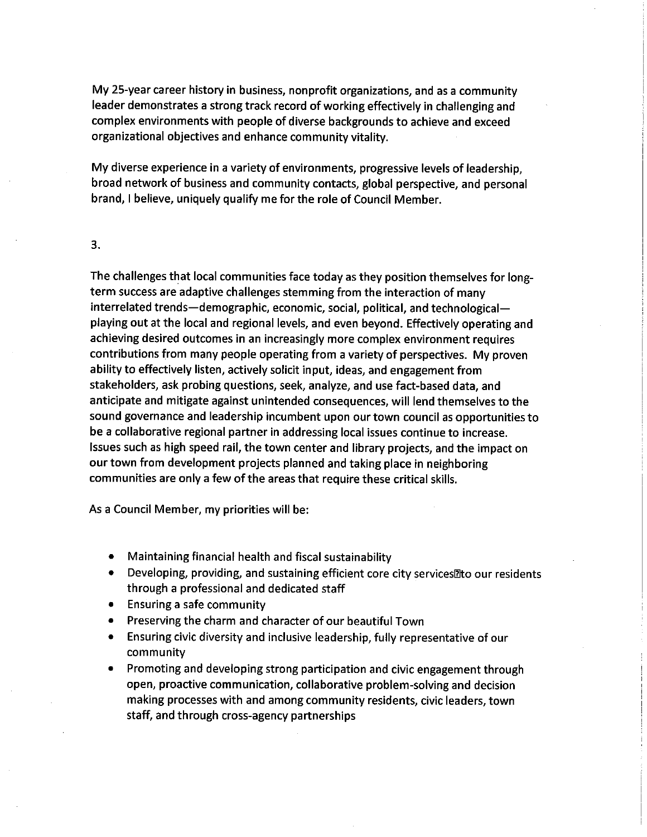My 25-year career history in business, nonprofit organizations, and as a community leader demonstrates a strong track record of working effectively in challenging and complex environments with people of diverse backgrounds to achieve and exceed organizational objectives and enhance community vitality.

My diverse experience in a variety of environments, progressive levels of leadership, broad network of business and community contacts, global perspective, and personal brand, I believe, uniquely qualify me for the role of Council Member.

## 3.

The challenges that local communities face today as they position themselves for longterm success are adaptive challenges stemming from the interaction of many interrelated trends—demographic, economic, social, political, and technological playing out at the local and regional levels, and even beyond. Effectively operating and achieving desired outcomes in an increasingly more complex environment requires contributions from many people operating from a variety of perspectives. My proven ability to effectively listen, actively solicit input, ideas, and engagement from stakeholders, ask probing questions, seek, analyze, and use fact-based data, and anticipate and mitigate against unintended consequences, will lend themselves to the sound governance and leadership incumbent upon our town council as opportunities to be a collaborative regional partner in addressing local issues continue to increase. Issues such as high speed rail, the town center and library projects, and the impact on our town from development projects planned and taking place in neighboring communities are only a few of the areas that require these critical skills.

As a Council Member, my priorities will be:

- Maintaining financial health and fiscal sustainability
- Developing, providing, and sustaining efficient core city services lato our residents  $\bullet$ through a professional and dedicated staff
- **Ensuring a safe community**
- Preserving the charm and character of our beautiful Town
- Ensuring civic diversity and inclusive leadership, fully representative of our community
- Promoting and developing strong participation and civic engagement through open, proactive communication, collaborative problem-solving and decision making processes with and among community residents, civic leaders, town staff, and through cross-agency partnerships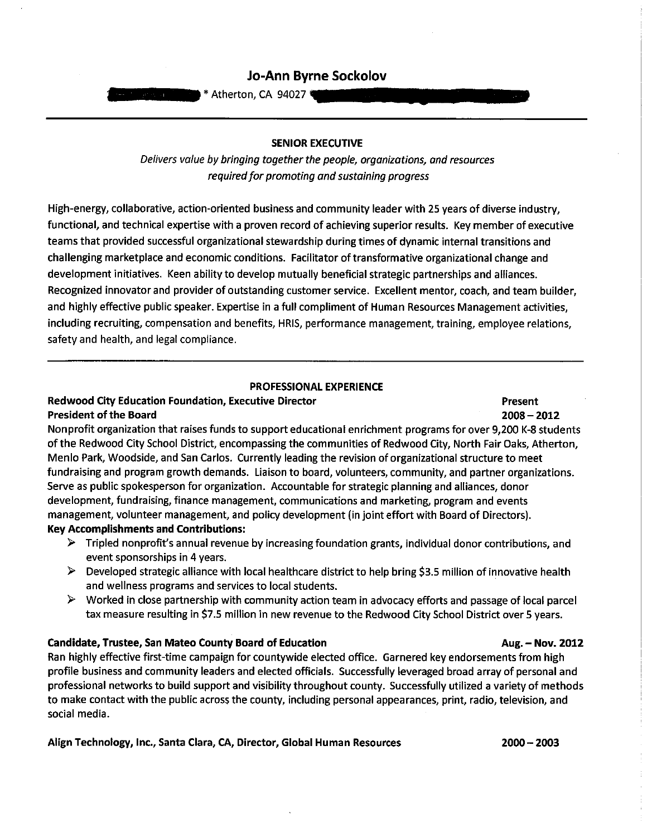## Jo-Ann Byrne Sockolov

\* Atherton, CA 94027

Delivers value by bringing together the people, organizations, and resources required for promoting and sustaining progress

High-energy, collaborative, action-oriented business and community leader with 25 years of diverse industry, functional, and technical expertise with a proven record of achieving superior results. Key member of executive teams that provided successful organizational stewardship during times of dynamic internal transitions and challenging marketplace and economic conditions. Facilitator of transformative organizational change and development initiatives. Keen ability to develop mutually beneficial strategic partnerships and alliances. Recognized innovator and provider of outstanding customer service. Excellent mentor, coach, and team builder, and highly effective public speaker. Expertise in a full compliment of Human Resources Management activities, including recruiting, compensation and benefits, HRIS, performance management, training, employee relations, safety and health, and legal compliance.

#### **PROFESSIONAL EXPERIENCE**

## **Redwood City Education Foundation, Executive Director President of the Board**

Nonprofit organization that raises funds to support educational enrichment programs for over 9,200 K-8 students of the Redwood City School District, encompassing the communities of Redwood City, North Fair Oaks, Atherton, Menlo Park, Woodside, and San Carlos. Currently leading the revision of organizational structure to meet fundraising and program growth demands. Liaison to board, volunteers, community, and partner organizations. Serve as public spokesperson for organization. Accountable for strategic planning and alliances, donor development, fundraising, finance management, communications and marketing, program and events management, volunteer management, and policy development (in joint effort with Board of Directors). **Key Accomplishments and Contributions:** 

- $\triangleright$  Tripled nonprofit's annual revenue by increasing foundation grants, individual donor contributions, and event sponsorships in 4 years.
- > Developed strategic alliance with local healthcare district to help bring \$3.5 million of innovative health and wellness programs and services to local students.
- ➤ Worked in close partnership with community action team in advocacy efforts and passage of local parcel tax measure resulting in \$7.5 million in new revenue to the Redwood City School District over 5 years.

## **Candidate, Trustee, San Mateo County Board of Education**

Ran highly effective first-time campaign for countywide elected office. Garnered key endorsements from high profile business and community leaders and elected officials. Successfully leveraged broad array of personal and professional networks to build support and visibility throughout county. Successfully utilized a variety of methods to make contact with the public across the county, including personal appearances, print, radio, television, and social media.

## Align Technology, Inc., Santa Clara, CA, Director, Global Human Resources

#### $2000 - 2003$

#### Aug. - Nov. 2012

# 2008 - 2012

Present

**SENIOR EXECUTIVE**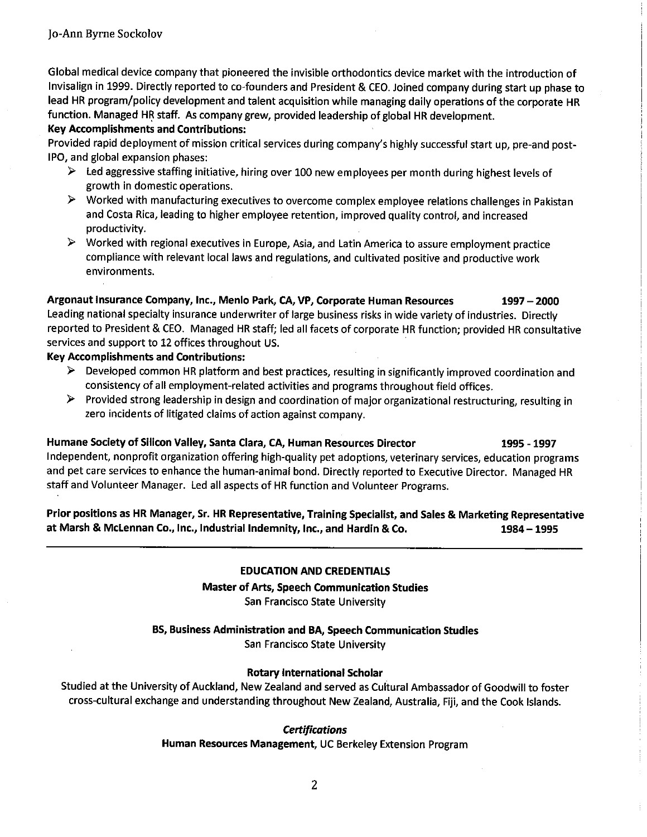Global medical device company that pioneered the invisible orthodontics device market with the introduction of Invisalign in 1999. Directly reported to co-founders and President & CEO. Joined company during start up phase to lead HR program/policy development and talent acquisition while managing daily operations of the corporate HR function. Managed HR staff. As company grew, provided leadership of global HR development.

### **Key Accomplishments and Contributions:**

Provided rapid deployment of mission critical services during company's highly successful start up, pre-and post-IPO, and global expansion phases:

- $\triangleright$  Led aggressive staffing initiative, hiring over 100 new employees per month during highest levels of growth in domestic operations.
- > Worked with manufacturing executives to overcome complex employee relations challenges in Pakistan and Costa Rica, leading to higher employee retention, improved quality control, and increased productivity.
- $\triangleright$  Worked with regional executives in Europe, Asia, and Latin America to assure employment practice compliance with relevant local laws and regulations, and cultivated positive and productive work environments.

Argonaut Insurance Company, Inc., Menlo Park, CA, VP, Corporate Human Resources  $1997 - 2000$ Leading national specialty insurance underwriter of large business risks in wide variety of industries. Directly reported to President & CEO. Managed HR staff; led all facets of corporate HR function; provided HR consultative services and support to 12 offices throughout US.

## **Key Accomplishments and Contributions:**

- $\triangleright$  Developed common HR platform and best practices, resulting in significantly improved coordination and consistency of all employment-related activities and programs throughout field offices.
- > Provided strong leadership in design and coordination of major organizational restructuring, resulting in zero incidents of litigated claims of action against company.

Humane Society of Silicon Valley, Santa Clara, CA, Human Resources Director 1995 - 1997 Independent, nonprofit organization offering high-quality pet adoptions, veterinary services, education programs and pet care services to enhance the human-animal bond. Directly reported to Executive Director. Managed HR staff and Volunteer Manager. Led all aspects of HR function and Volunteer Programs.

Prior positions as HR Manager, Sr. HR Representative, Training Specialist, and Sales & Marketing Representative at Marsh & McLennan Co., Inc., Industrial Indemnity, Inc., and Hardin & Co.  $1984 - 1995$ 

## **EDUCATION AND CREDENTIALS**

**Master of Arts, Speech Communication Studies** San Francisco State University

BS, Business Administration and BA, Speech Communication Studies

San Francisco State University

## **Rotary International Scholar**

Studied at the University of Auckland, New Zealand and served as Cultural Ambassador of Goodwill to foster cross-cultural exchange and understanding throughout New Zealand, Australia, Fiji, and the Cook Islands.

## **Certifications**

Human Resources Management, UC Berkeley Extension Program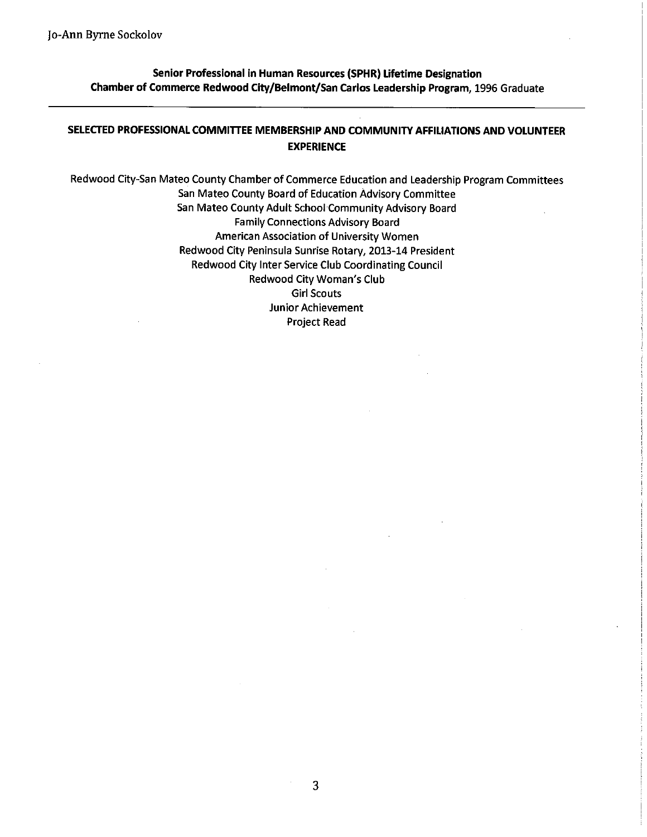Senior Professional in Human Resources (SPHR) Lifetime Designation Chamber of Commerce Redwood City/Belmont/San Carlos Leadership Program, 1996 Graduate

## SELECTED PROFESSIONAL COMMITTEE MEMBERSHIP AND COMMUNITY AFFILIATIONS AND VOLUNTEER **EXPERIENCE**

Redwood City-San Mateo County Chamber of Commerce Education and Leadership Program Committees San Mateo County Board of Education Advisory Committee San Mateo County Adult School Community Advisory Board **Family Connections Advisory Board** American Association of University Women Redwood City Peninsula Sunrise Rotary, 2013-14 President Redwood City Inter Service Club Coordinating Council **Redwood City Woman's Club Girl Scouts** Junior Achievement Project Read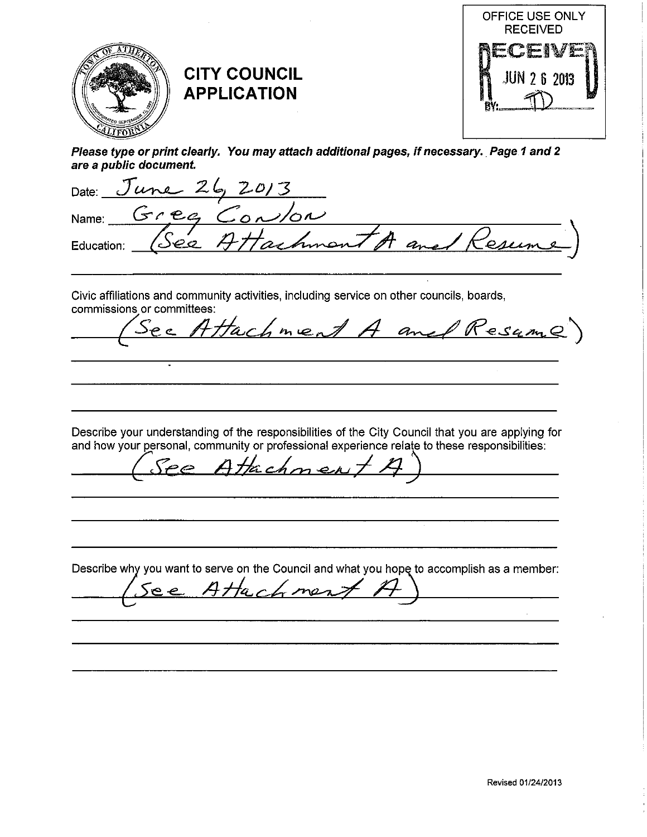

|                 | are a public document. |                              |  |
|-----------------|------------------------|------------------------------|--|
|                 |                        | Date: $June 26, 2013$        |  |
|                 |                        | Name: Gree Convon            |  |
| .<br>Education: |                        | (See Attachment A and Resume |  |

Civic affiliations and community activities, including service on other councils, boards, commissions or committees:

Hachment A and Resume ے جک

Describe your understanding of the responsibilities of the City Council that you are applying for and how your personal, community or professional experience relate to these responsibilities:

Attachmeny  $\epsilon$ 

 $e$ 

Describe why you want to serve on the Council and what you hope to accomplish as a member:

ment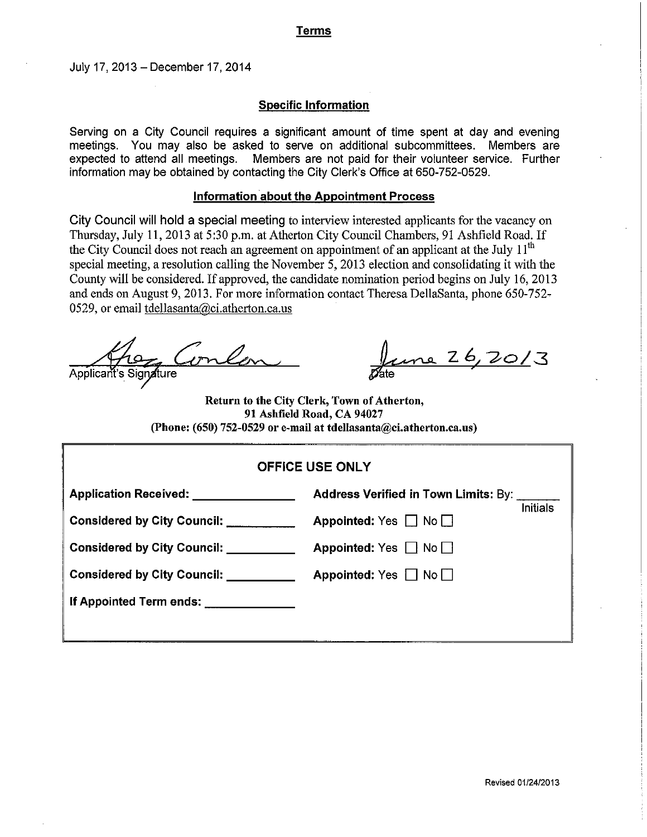## **Terms**

July 17, 2013 - December 17, 2014

## **Specific Information**

Serving on a City Council requires a significant amount of time spent at day and evening meetings. You may also be asked to serve on additional subcommittees. Members are expected to attend all meetings. Members are not paid for their volunteer service. Further information may be obtained by contacting the City Clerk's Office at 650-752-0529.

### **Information about the Appointment Process**

City Council will hold a special meeting to interview interested applicants for the vacancy on Thursday, July 11, 2013 at 5:30 p.m. at Atherton City Council Chambers, 91 Ashfield Road. If the City Council does not reach an agreement on appointment of an applicant at the July 11<sup>th</sup> special meeting, a resolution calling the November 5, 2013 election and consolidating it with the County will be considered. If approved, the candidate nomination period begins on July 16, 2013 and ends on August 9, 2013. For more information contact Theresa DellaSanta, phone 650-752-0529, or email tdellasanta@ci.atherton.ca.us

Applicant's Signature

<u>une 26,20/3</u>

Return to the City Clerk, Town of Atherton, 91 Ashfield Road, CA 94027 (Phone: (650) 752-0529 or e-mail at tdellasanta@ci.atherton.ca.us)

| <b>OFFICE USE ONLY</b>                                                                                                                                                                                                                                               |                                                    |  |
|----------------------------------------------------------------------------------------------------------------------------------------------------------------------------------------------------------------------------------------------------------------------|----------------------------------------------------|--|
| <b>Application Received:</b><br><u>and the community of the community of the community of the community of the community of the community of the community of the community of the community of the community of the community of the community of the community</u> | Address Verified in Town Limits: By:               |  |
| <b>Considered by City Council:</b>                                                                                                                                                                                                                                   | <b>Initials</b><br>Appointed: Yes $\Box$ No $\Box$ |  |
| <b>Considered by City Council:</b>                                                                                                                                                                                                                                   | Appointed: Yes $\Box$ No $\Box$                    |  |
| Considered by City Council: Considered by City Council:                                                                                                                                                                                                              | Appointed: Yes $\Box$ No $\Box$                    |  |
| If Appointed Term ends:                                                                                                                                                                                                                                              |                                                    |  |
|                                                                                                                                                                                                                                                                      |                                                    |  |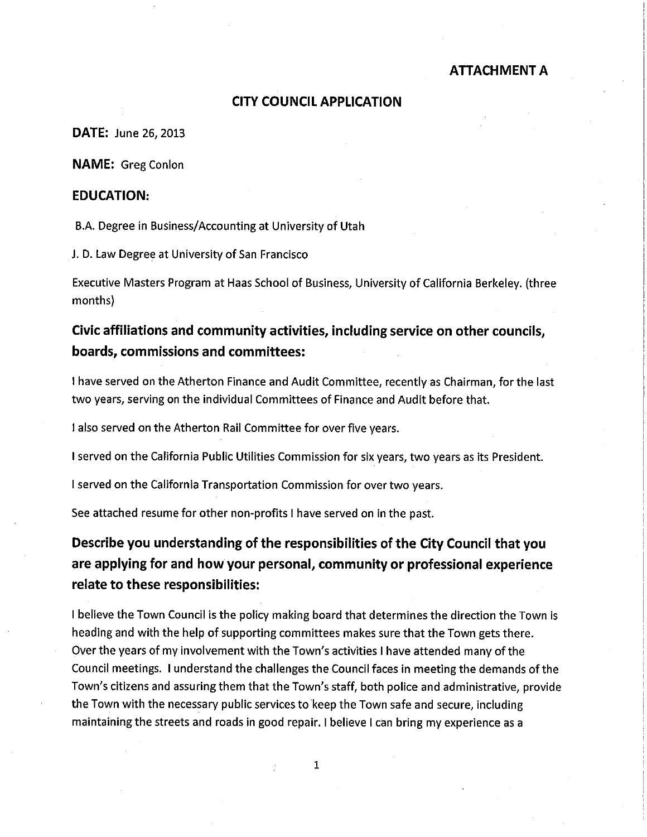## **CITY COUNCIL APPLICATION**

**DATE: June 26, 2013** 

**NAME:** Greg Conlon

## **EDUCATION:**

B.A. Degree in Business/Accounting at University of Utah

J. D. Law Degree at University of San Francisco

Executive Masters Program at Haas School of Business, University of California Berkeley. (three months)

# Civic affiliations and community activities, including service on other councils, boards, commissions and committees:

I have served on the Atherton Finance and Audit Committee, recently as Chairman, for the last two years, serving on the individual Committees of Finance and Audit before that.

I also served on the Atherton Rail Committee for over five years.

I served on the California Public Utilities Commission for six years, two years as its President.

I served on the California Transportation Commission for over two years.

See attached resume for other non-profits I have served on in the past.

# Describe you understanding of the responsibilities of the City Council that you are applying for and how your personal, community or professional experience relate to these responsibilities:

I believe the Town Council is the policy making board that determines the direction the Town is heading and with the help of supporting committees makes sure that the Town gets there. Over the years of my involvement with the Town's activities I have attended many of the Council meetings. I understand the challenges the Council faces in meeting the demands of the Town's citizens and assuring them that the Town's staff, both police and administrative, provide the Town with the necessary public services to keep the Town safe and secure, including maintaining the streets and roads in good repair. I believe I can bring my experience as a

 $\mathbf{1}$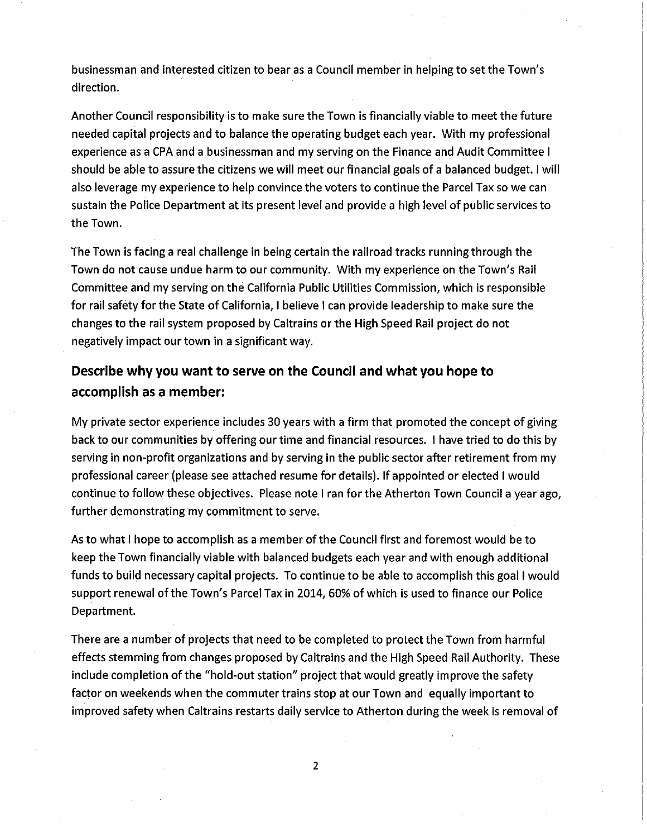businessman and interested citizen to bear as a Council member in helping to set the Town's direction.

Another Council responsibility is to make sure the Town is financially viable to meet the future needed capital projects and to balance the operating budget each year. With my professional experience as a CPA and a businessman and my serving on the Finance and Audit Committee I should be able to assure the citizens we will meet our financial goals of a balanced budget. I will also leverage my experience to help convince the voters to continue the Parcel Tax so we can sustain the Police Department at its present level and provide a high level of public services to the Town.

The Town is facing a real challenge in being certain the railroad tracks running through the Town do not cause undue harm to our community. With my experience on the Town's Rail Committee and my serving on the California Public Utilities Commission, which is responsible for rail safety for the State of California, I believe I can provide leadership to make sure the changes to the rail system proposed by Caltrains or the High Speed Rail project do not negatively impact our town in a significant way.

# Describe why you want to serve on the Council and what you hope to accomplish as a member:

My private sector experience includes 30 years with a firm that promoted the concept of giving back to our communities by offering our time and financial resources. I have tried to do this by serving in non-profit organizations and by serving in the public sector after retirement from my professional career (please see attached resume for details). If appointed or elected I would continue to follow these objectives. Please note I ran for the Atherton Town Council a year ago, further demonstrating my commitment to serve.

As to what I hope to accomplish as a member of the Council first and foremost would be to keep the Town financially viable with balanced budgets each year and with enough additional funds to build necessary capital projects. To continue to be able to accomplish this goal I would support renewal of the Town's Parcel Tax in 2014, 60% of which is used to finance our Police Department.

There are a number of projects that need to be completed to protect the Town from harmful effects stemming from changes proposed by Caltrains and the High Speed Rail Authority. These include completion of the "hold-out station" project that would greatly improve the safety factor on weekends when the commuter trains stop at our Town and equally important to improved safety when Caltrains restarts daily service to Atherton during the week is removal of

 $\overline{2}$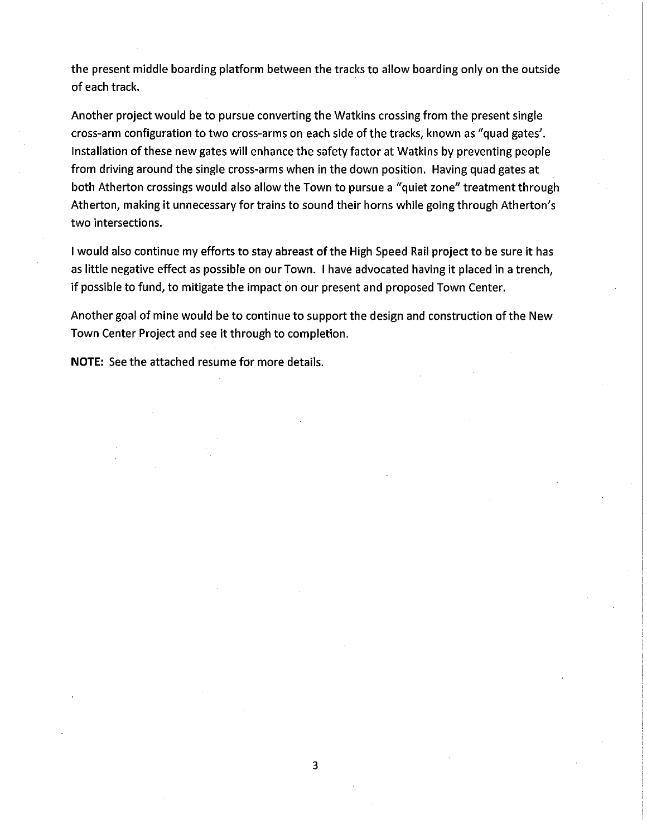the present middle boarding platform between the tracks to allow boarding only on the outside of each track.

Another project would be to pursue converting the Watkins crossing from the present single cross-arm configuration to two cross-arms on each side of the tracks, known as "quad gates'. Installation of these new gates will enhance the safety factor at Watkins by preventing people from driving around the single cross-arms when in the down position. Having quad gates at both Atherton crossings would also allow the Town to pursue a "quiet zone" treatment through Atherton, making it unnecessary for trains to sound their horns while going through Atherton's two intersections.

I would also continue my efforts to stay abreast of the High Speed Rail project to be sure it has as little negative effect as possible on our Town. I have advocated having it placed in a trench, if possible to fund, to mitigate the impact on our present and proposed Town Center.

Another goal of mine would be to continue to support the design and construction of the New Town Center Project and see it through to completion.

NOTE: See the attached resume for more details.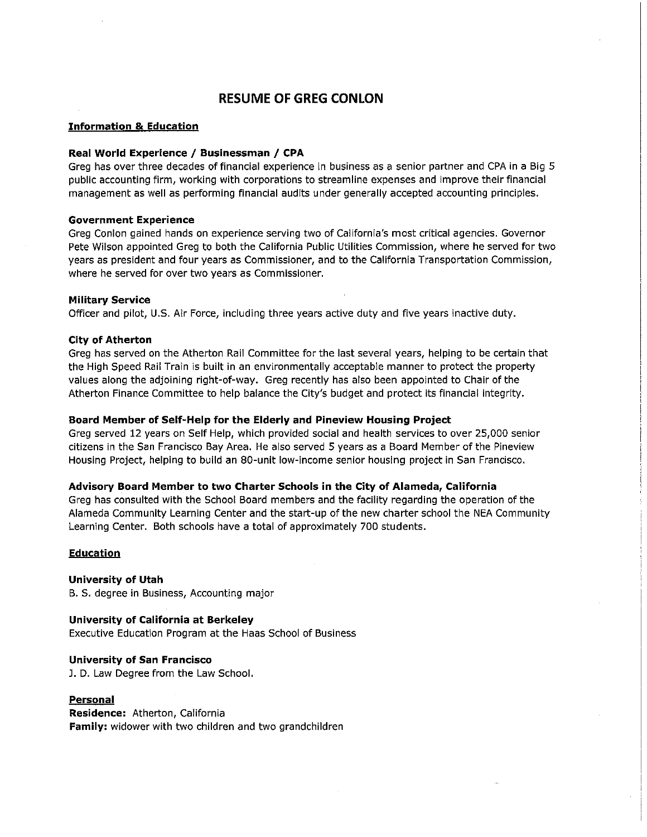## **RESUME OF GREG CONLON**

#### **Information & Education**

#### Real World Experience / Businessman / CPA

Greg has over three decades of financial experience in business as a senior partner and CPA in a Big 5 public accounting firm, working with corporations to streamline expenses and improve their financial management as well as performing financial audits under generally accepted accounting principles.

#### **Government Experience**

Greg Conlon gained hands on experience serving two of California's most critical agencies. Governor Pete Wilson appointed Greg to both the California Public Utilities Commission, where he served for two years as president and four years as Commissioner, and to the California Transportation Commission, where he served for over two years as Commissioner.

#### **Military Service**

Officer and pilot, U.S. Air Force, including three years active duty and five years inactive duty.

#### **City of Atherton**

Greg has served on the Atherton Rail Committee for the last several years, helping to be certain that the High Speed Rail Train is built in an environmentally acceptable manner to protect the property values along the adjoining right-of-way. Greg recently has also been appointed to Chair of the Atherton Finance Committee to help balance the City's budget and protect its financial integrity.

#### Board Member of Self-Help for the Elderly and Pineview Housing Project

Greg served 12 years on Self Help, which provided social and health services to over 25,000 senior citizens in the San Francisco Bay Area. He also served 5 years as a Board Member of the Pineview Housing Project, helping to build an 80-unit low-income senior housing project in San Francisco.

#### Advisory Board Member to two Charter Schools in the City of Alameda, California

Greg has consulted with the School Board members and the facility regarding the operation of the Alameda Community Learning Center and the start-up of the new charter school the NEA Community Learning Center. Both schools have a total of approximately 700 students.

#### **Education**

**University of Utah** B. S. degree in Business, Accounting major

**University of California at Berkeley** Executive Education Program at the Haas School of Business

#### **University of San Francisco**

J. D. Law Degree from the Law School.

#### **Personal**

Residence: Atherton, California Family: widower with two children and two grandchildren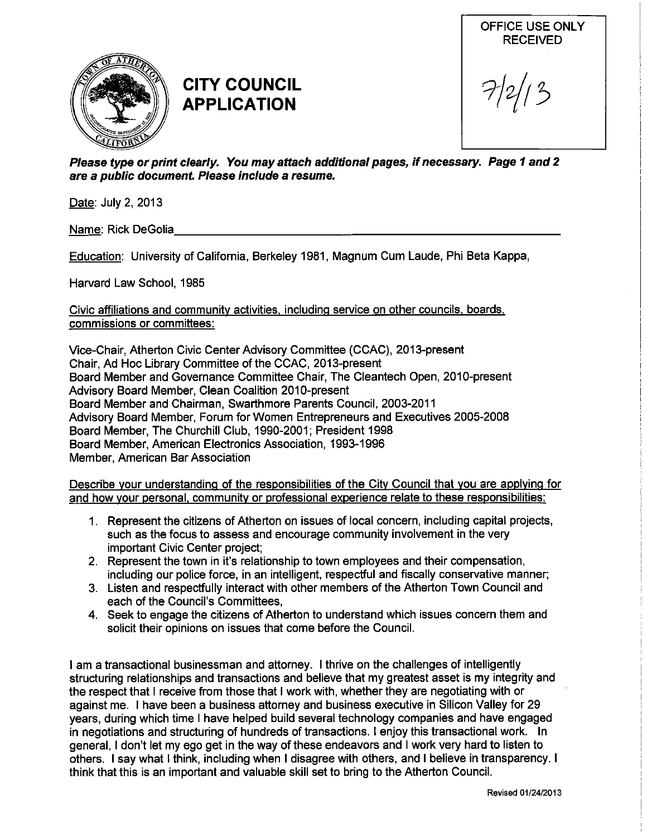

# **CITY COUNCIL APPLICATION**

OFFICE USE ONLY **RECEIVED** 

Please type or print clearly. You may attach additional pages, if necessary. Page 1 and 2 are a public document. Please include a resume.

Date: July 2, 2013

Name: Rick DeGolia

Education: University of California, Berkeley 1981, Magnum Cum Laude, Phi Beta Kappa,

Harvard Law School, 1985

Civic affiliations and community activities, including service on other councils, boards, commissions or committees:

Vice-Chair, Atherton Civic Center Advisory Committee (CCAC), 2013-present Chair, Ad Hoc Library Committee of the CCAC, 2013-present Board Member and Governance Committee Chair, The Cleantech Open, 2010-present Advisory Board Member, Clean Coalition 2010-present Board Member and Chairman, Swarthmore Parents Council, 2003-2011 Advisory Board Member, Forum for Women Entrepreneurs and Executives 2005-2008 Board Member, The Churchill Club, 1990-2001; President 1998 Board Member, American Electronics Association, 1993-1996 Member, American Bar Association

Describe your understanding of the responsibilities of the City Council that you are applying for and how your personal, community or professional experience relate to these responsibilities:

- 1. Represent the citizens of Atherton on issues of local concern, including capital projects, such as the focus to assess and encourage community involvement in the very important Civic Center project;
- 2. Represent the town in it's relationship to town employees and their compensation, including our police force, in an intelligent, respectful and fiscally conservative manner;
- 3. Listen and respectfully interact with other members of the Atherton Town Council and each of the Council's Committees.
- 4. Seek to engage the citizens of Atherton to understand which issues concern them and solicit their opinions on issues that come before the Council.

I am a transactional businessman and attorney. I thrive on the challenges of intelligently structuring relationships and transactions and believe that my greatest asset is my integrity and the respect that I receive from those that I work with, whether they are negotiating with or against me. I have been a business attorney and business executive in Silicon Valley for 29 years, during which time I have helped build several technology companies and have engaged in negotiations and structuring of hundreds of transactions. I enjoy this transactional work. In general, I don't let my ego get in the way of these endeavors and I work very hard to listen to others. I say what I think, including when I disagree with others, and I believe in transparency. I think that this is an important and valuable skill set to bring to the Atherton Council.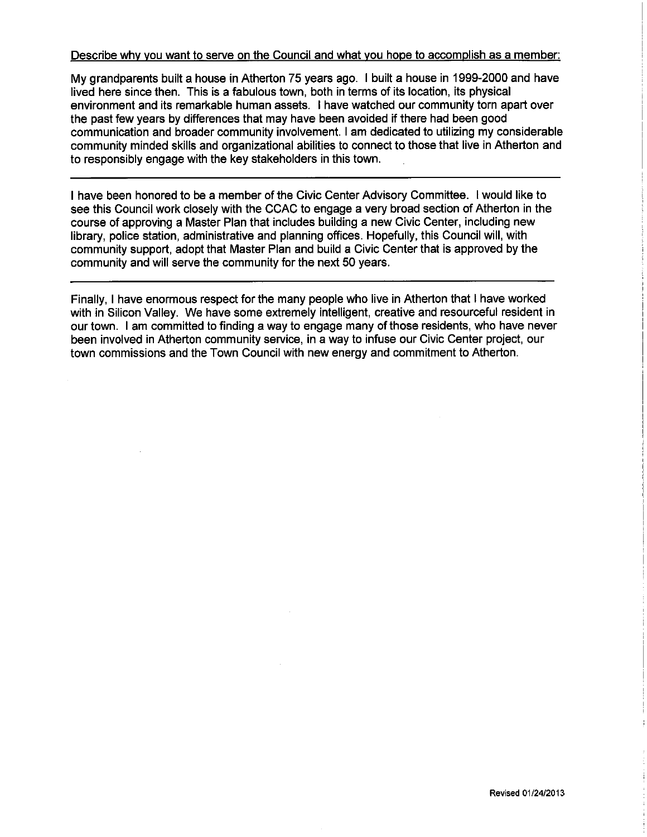## Describe why you want to serve on the Council and what you hope to accomplish as a member:

My grandparents built a house in Atherton 75 years ago. I built a house in 1999-2000 and have lived here since then. This is a fabulous town, both in terms of its location, its physical environment and its remarkable human assets. I have watched our community torn apart over the past few years by differences that may have been avoided if there had been good communication and broader community involvement. I am dedicated to utilizing my considerable community minded skills and organizational abilities to connect to those that live in Atherton and to responsibly engage with the key stakeholders in this town.

I have been honored to be a member of the Civic Center Advisory Committee. I would like to see this Council work closely with the CCAC to engage a very broad section of Atherton in the course of approving a Master Plan that includes building a new Civic Center, including new library, police station, administrative and planning offices. Hopefully, this Council will, with community support, adopt that Master Plan and build a Civic Center that is approved by the community and will serve the community for the next 50 years.

Finally, I have enormous respect for the many people who live in Atherton that I have worked with in Silicon Valley. We have some extremely intelligent, creative and resourceful resident in our town. I am committed to finding a way to engage many of those residents, who have never been involved in Atherton community service, in a way to infuse our Civic Center project, our town commissions and the Town Council with new energy and commitment to Atherton.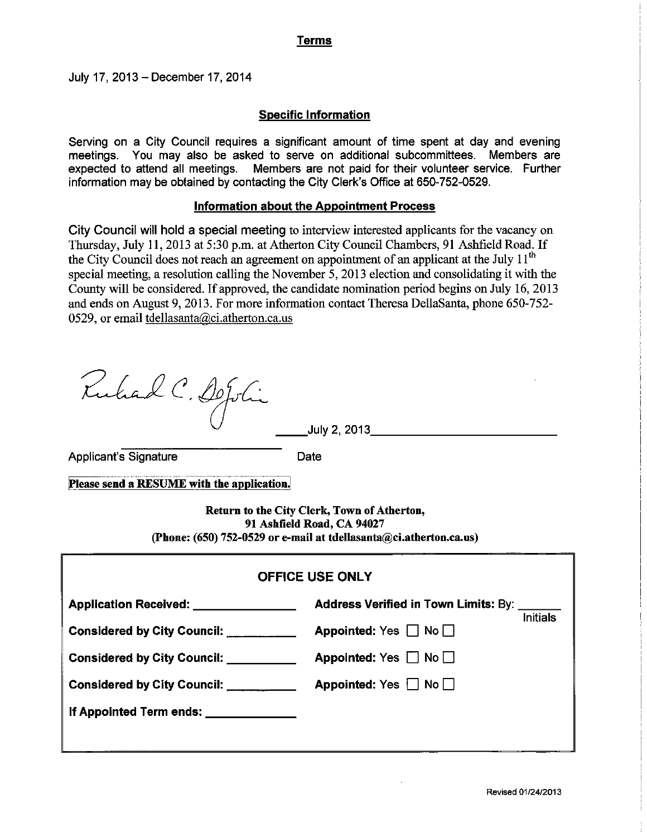## **Terms**

July 17, 2013 - December 17, 2014

## **Specific Information**

Serving on a City Council requires a significant amount of time spent at day and evening meetings. You may also be asked to serve on additional subcommittees. Members are expected to attend all meetings. Members are not paid for their volunteer service. Further information may be obtained by contacting the City Clerk's Office at 650-752-0529.

## Information about the Appointment Process

City Council will hold a special meeting to interview interested applicants for the vacancy on Thursday, July 11, 2013 at 5:30 p.m. at Atherton City Council Chambers, 91 Ashfield Road. If the City Council does not reach an agreement on appointment of an applicant at the July 11<sup>th</sup> special meeting, a resolution calling the November 5, 2013 election and consolidating it with the County will be considered. If approved, the candidate nomination period begins on July 16, 2013 and ends on August 9, 2013. For more information contact Theresa DellaSanta, phone 650-752-0529, or email tdellasanta@ci.atherton.ca.us

Ruhad C. DeJohi

July 2, 2013 $\overline{\phantom{a}}$ 

**Applicant's Signature** 

Date

Please send a RESUME with the application.

Return to the City Clerk, Town of Atherton, 91 Ashfield Road, CA 94027 (Phone: (650) 752-0529 or e-mail at tdellasanta@ci.atherton.ca.us)

| <b>OFFICE USE ONLY</b>                 |                                                                |  |
|----------------------------------------|----------------------------------------------------------------|--|
| Application Received: ________________ | <b>Address Verified in Town Limits: By:</b><br><b>Initials</b> |  |
| Considered by City Council: __________ | Appointed: Yes $\Box$ No $\Box$                                |  |
| <b>Considered by City Council:</b>     | Appointed: Yes $\Box$ No $\Box$                                |  |
| Considered by City Council: _________  | Appointed: Yes $\Box$ No $\Box$                                |  |
| If Appointed Term ends: ____________   |                                                                |  |
|                                        |                                                                |  |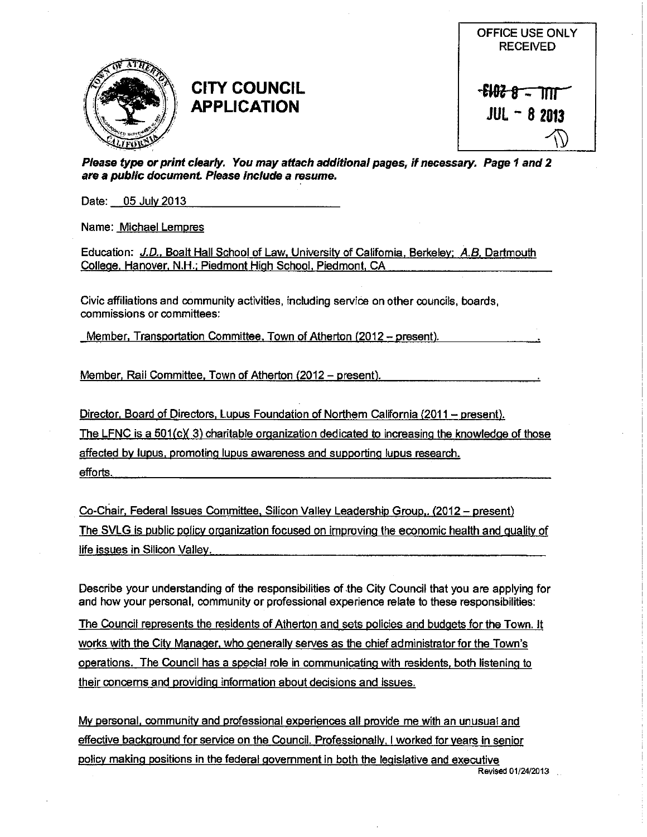

# **CITY COUNCIL APPLICATION**



Please type or print clearly. You may attach additional pages, if necessary. Page 1 and 2 are a public document. Please include a resume.

Date: 05 July 2013

Name: Michael Lempres

Education: J.D., Boalt Hall School of Law, University of California, Berkeley; A.B. Dartmouth College, Hanover, N.H.; Piedmont High School, Piedmont, CA

Civic affiliations and community activities, including service on other councils, boards, commissions or committees:

Member, Transportation Committee, Town of Atherton (2012 - present).

Member, Rail Committee, Town of Atherton (2012 – present).

Director, Board of Directors, Lupus Foundation of Northern California (2011 – present). The LFNC is a  $501(c)(3)$  charitable organization dedicated to increasing the knowledge of those affected by lupus, promoting lupus awareness and supporting lupus research. efforts.

Co-Chair, Federal Issues Committee, Silicon Valley Leadership Group,. (2012 – present) The SVLG is public policy organization focused on improving the economic health and quality of life issues in Silicon Valley.

Describe your understanding of the responsibilities of the City Council that you are applying for and how your personal, community or professional experience relate to these responsibilities:

The Council represents the residents of Atherton and sets policies and budgets for the Town. It works with the City Manager, who generally serves as the chief administrator for the Town's operations. The Council has a special role in communicating with residents, both listening to their concerns and providing information about decisions and issues.

My personal, community and professional experiences all provide me with an unusual and effective background for service on the Council. Professionally, I worked for years in senior policy making positions in the federal government in both the legislative and executive Revised 01/24/2013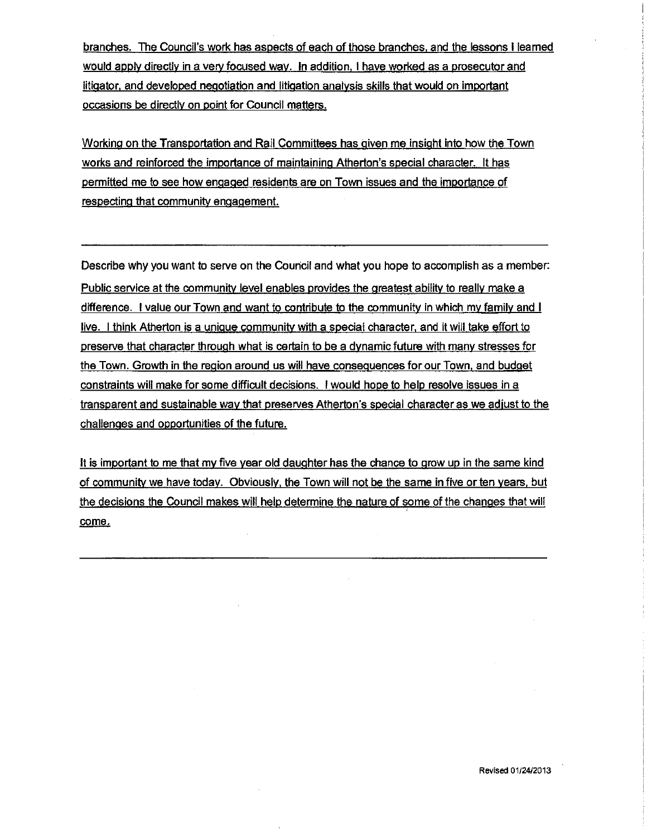branches. The Council's work has aspects of each of those branches, and the lessons I learned would apply directly in a very focused way. In addition, I have worked as a prosecutor and litigator, and developed negotiation and litigation analysis skills that would on important occasions be directly on point for Council matters.

<u>Working on the Transportation and Rail Committees has given me insight into how the Town</u> works and reinforced the importance of maintaining Atherton's special character. It has permitted me to see how engaged residents are on Town issues and the importance of respecting that community engagement.

Describe why you want to serve on the Council and what you hope to accomplish as a member: Public service at the community level enables provides the greatest ability to really make a difference. I value our Town and want to contribute to the community in which my family and I live. I think Atherton is a unique community with a special character, and it will take effort to preserve that character through what is certain to be a dynamic future with many stresses for the Town. Growth in the region around us will have consequences for our Town, and budget constraints will make for some difficult decisions. I would hope to help resolve issues in a transparent and sustainable way that preserves Atherton's special character as we adjust to the challenges and opportunities of the future.

It is important to me that my five year old daughter has the chance to grow up in the same kind of community we have today. Obviously, the Town will not be the same in five or ten years, but the decisions the Council makes will help determine the nature of some of the changes that will come.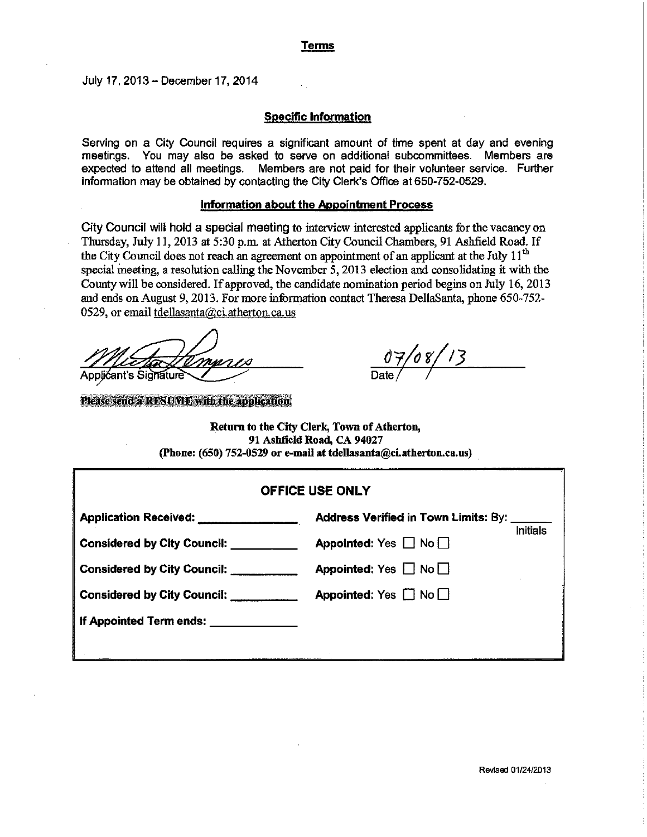## **Terms**

July 17, 2013 - December 17, 2014

### **Specific Information**

Serving on a City Council requires a significant amount of time spent at day and evening meetings. You may also be asked to serve on additional subcommittees. Members are expected to attend all meetings. Members are not paid for their volunteer service. Further information may be obtained by contacting the City Clerk's Office at 650-752-0529.

### Information about the Appointment Process

City Council will hold a special meeting to interview interested applicants for the vacancy on Thursday, July 11, 2013 at 5:30 p.m. at Atherton City Council Chambers, 91 Ashfield Road. If the City Council does not reach an agreement on appointment of an applicant at the July 11<sup>th</sup> special meeting, a resolution calling the November 5, 2013 election and consolidating it with the County will be considered. If approved, the candidate nomination period begins on July 16, 2013 and ends on August 9, 2013. For more information contact Theresa DellaSanta, phone 650-752-0529, or email tdellasanta@ci.atherton.ca.us

man Applićant's Signature

Please send a RESUME with the application.

 $\frac{07/08/13}{\text{Date}}$ 

Return to the City Clerk, Town of Atherton, 91 Ashfield Road, CA 94027 (Phone: (650) 752-0529 or e-mail at tdellasanta@ci.atherton.ca.us)

| <b>OFFICE USE ONLY</b>                                                |                                                         |  |
|-----------------------------------------------------------------------|---------------------------------------------------------|--|
| Application Received: Application Received:                           | Address Verified in Town Limits: By:<br><b>Initials</b> |  |
| Appointed: Yes $\Box$ No $\Box$<br><b>Considered by City Council:</b> |                                                         |  |
| <b>Considered by City Council:</b>                                    | Appointed: Yes $\Box$ No $\Box$                         |  |
| Considered by City Council: Considered by City Council:               | Appointed: Yes $\Box$ No $\Box$                         |  |
| If Appointed Term ends: <u>______________</u>                         |                                                         |  |
|                                                                       |                                                         |  |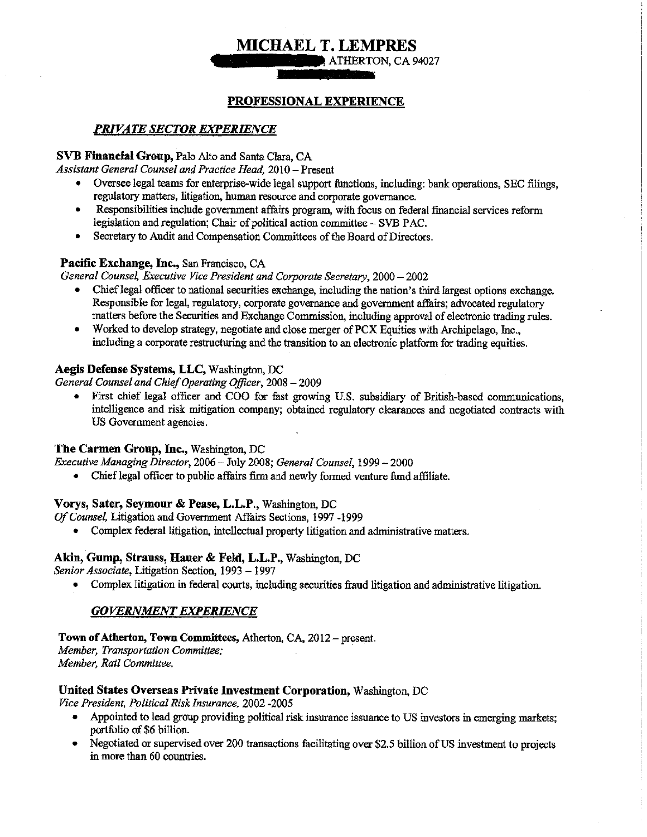# **MICHAEL T. LEMPRES**

ATHERTON, CA 94027

## PROFESSIONAL EXPERIENCE

## **PRIVATE SECTOR EXPERIENCE**

## SVB Financial Group, Palo Alto and Santa Clara, CA

Assistant General Counsel and Practice Head, 2010 - Present

- Oversee legal teams for enterprise-wide legal support functions, including: bank operations, SEC filings, regulatory matters, litigation, human resource and corporate governance.
- $\bullet$ Responsibilities include government affairs program, with focus on federal financial services reform legislation and regulation; Chair of political action committee - SVB PAC.
- Secretary to Audit and Compensation Committees of the Board of Directors.  $\bullet$

## Pacific Exchange, Inc., San Francisco, CA

General Counsel, Executive Vice President and Corporate Secretary, 2000 - 2002

- Chief legal officer to national securities exchange, including the nation's third largest options exchange. Responsible for legal, regulatory, corporate governance and government affairs; advocated regulatory matters before the Securities and Exchange Commission, including approval of electronic trading rules.
- Worked to develop strategy, negotiate and close merger of PCX Equities with Archipelago, Inc., including a corporate restructuring and the transition to an electronic platform for trading equities.

## Aegis Defense Systems, LLC, Washington, DC

General Counsel and Chief Operating Officer, 2008 - 2009

• First chief legal officer and COO for fast growing U.S. subsidiary of British-based communications, intelligence and risk mitigation company; obtained regulatory clearances and negotiated contracts with US Government agencies.

## The Carmen Group, Inc., Washington, DC

Executive Managing Director, 2006 - July 2008; General Counsel, 1999 - 2000

• Chief legal officer to public affairs firm and newly formed venture fund affiliate.

## Vorys, Sater, Seymour & Pease, L.L.P., Washington, DC

Of Counsel, Litigation and Government Affairs Sections, 1997 -1999

• Complex federal litigation, intellectual property litigation and administrative matters.

## Akin, Gump, Strauss, Hauer & Feld, L.L.P., Washington, DC

Senior Associate, Litigation Section, 1993 - 1997

• Complex litigation in federal courts, including securities fraud litigation and administrative litigation.

## **GOVERNMENT EXPERIENCE**

## Town of Atherton, Town Committees, Atherton, CA, 2012 – present.

Member, Transportation Committee; Member, Rail Committee.

## United States Overseas Private Investment Corporation, Washington, DC

Vice President, Political Risk Insurance, 2002 -2005

- Appointed to lead group providing political risk insurance issuance to US investors in emerging markets; portfolio of \$6 billion.
- Negotiated or supervised over 200 transactions facilitating over \$2.5 billion of US investment to projects in more than 60 countries.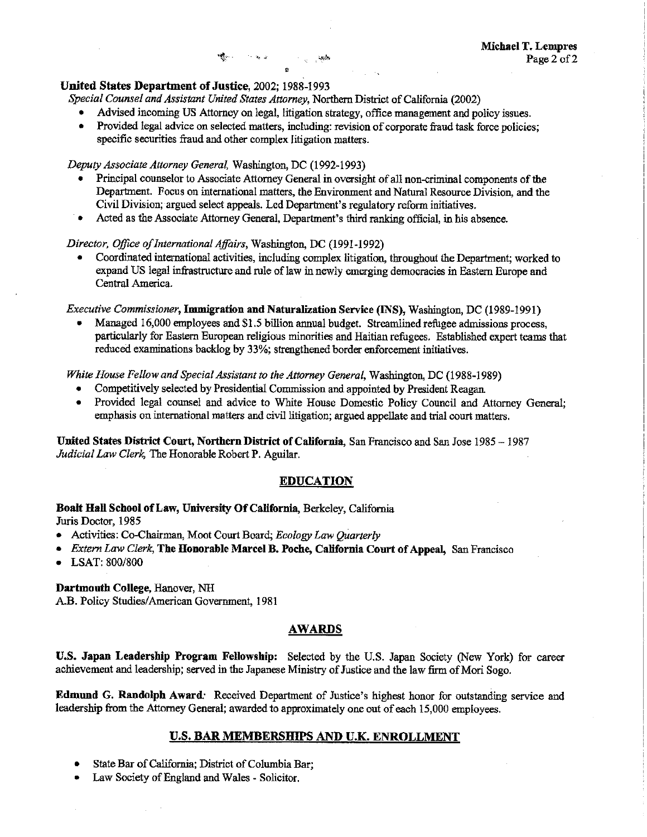#### United States Department of Justice. 2002: 1988-1993

Special Counsel and Assistant United States Attorney, Northern District of California (2002)

 $\mathbf{H}_{\mathbf{q}}^{\mathbf{q}}$  and  $\mathbf{q}^{\mathbf{q}}$  and  $\mathbf{q}^{\mathbf{q}}$  and  $\mathbf{q}^{\mathbf{q}}$ 

- Advised incoming US Attorney on legal, litigation strategy, office management and policy issues.
- $\bullet$ Provided legal advice on selected matters, including: revision of corporate fraud task force policies; specific securities fraud and other complex litigation matters.

#### Deputy Associate Attorney General, Washington, DC (1992-1993)

- Principal counselor to Associate Attorney General in oversight of all non-criminal components of the Department. Focus on international matters, the Environment and Natural Resource Division, and the Civil Division; argued select appeals. Led Department's regulatory reform initiatives.
- Acted as the Associate Attorney General, Department's third ranking official, in his absence.

#### Director, Office of International Affairs, Washington, DC (1991-1992)

Coordinated international activities, including complex litigation, throughout the Department; worked to expand US legal infrastructure and rule of law in newly emerging democracies in Eastern Europe and Central America.

Executive Commissioner, Immigration and Naturalization Service (INS), Washington, DC (1989-1991)

Managed 16,000 employees and \$1.5 billion annual budget. Streamlined refugee admissions process. particularly for Eastern European religious minorities and Haitian refugees. Established expert teams that reduced examinations backlog by 33%; strengthened border enforcement initiatives.

White House Fellow and Special Assistant to the Attorney General, Washington, DC (1988-1989)

- Competitively selected by Presidential Commission and appointed by President Reagan.
- Provided legal counsel and advice to White House Domestic Policy Council and Attorney General: emphasis on international matters and civil litigation; argued appellate and trial court matters.

United States District Court, Northern District of California, San Francisco and San Jose 1985 - 1987 Judicial Law Clerk, The Honorable Robert P. Aguilar.

#### **EDUCATION**

#### Boalt Hall School of Law, University Of California, Berkeley, California Juris Doctor, 1985

- Activities: Co-Chairman, Moot Court Board; Ecology Law Quarterly
- Extern Law Clerk, The Honorable Marcel B. Poche, California Court of Appeal, San Francisco  $\bullet$
- $\bullet$  LSAT: 800/800

#### Dartmouth College, Hanover, NH A.B. Policy Studies/American Government, 1981

## **AWARDS**

U.S. Japan Leadership Program Fellowship: Selected by the U.S. Japan Society (New York) for career achievement and leadership; served in the Japanese Ministry of Justice and the law firm of Mori Sogo.

**Edmund G. Randolph Award:** Received Department of Justice's highest honor for outstanding service and leadership from the Attorney General; awarded to approximately one out of each 15,000 employees.

#### U.S. BAR MEMBERSHIPS AND U.K. ENROLLMENT

- State Bar of California; District of Columbia Bar;
- Law Society of England and Wales Solicitor.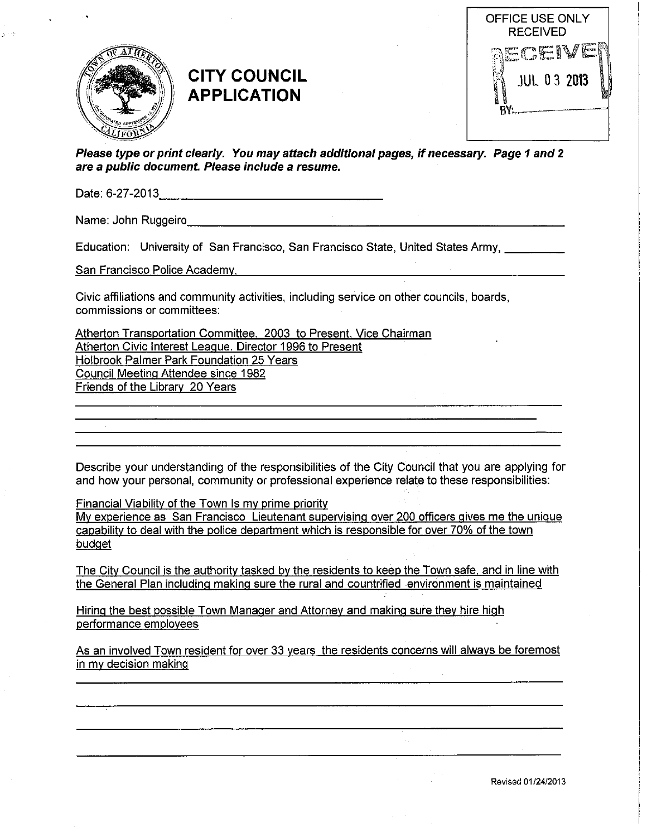

# **CITY COUNCIL APPLICATION**



Please type or print clearly. You may attach additional pages, if necessary. Page 1 and 2 are a public document. Please include a resume.

Name: John Ruggeiro **Name:** John Ruggeiro

Education: University of San Francisco, San Francisco State, United States Army,

San Francisco Police Academy.

Civic affiliations and community activities, including service on other councils, boards, commissions or committees:

Atherton Transportation Committee, 2003 to Present, Vice Chairman Atherton Civic Interest League. Director 1996 to Present Holbrook Palmer Park Foundation 25 Years Council Meeting Attendee since 1982 Friends of the Library 20 Years

Describe your understanding of the responsibilities of the City Council that you are applying for and how your personal, community or professional experience relate to these responsibilities:

**Financial Viability of the Town Is my prime priority** 

My experience as San Francisco Lieutenant supervising over 200 officers gives me the unique capability to deal with the police department which is responsible for over 70% of the town budget

The City Council is the authority tasked by the residents to keep the Town safe, and in line with the General Plan including making sure the rural and countrified environment is maintained

Hiring the best possible Town Manager and Attorney and making sure they hire high performance employees

As an involved Town resident for over 33 years the residents concerns will always be foremost in my decision making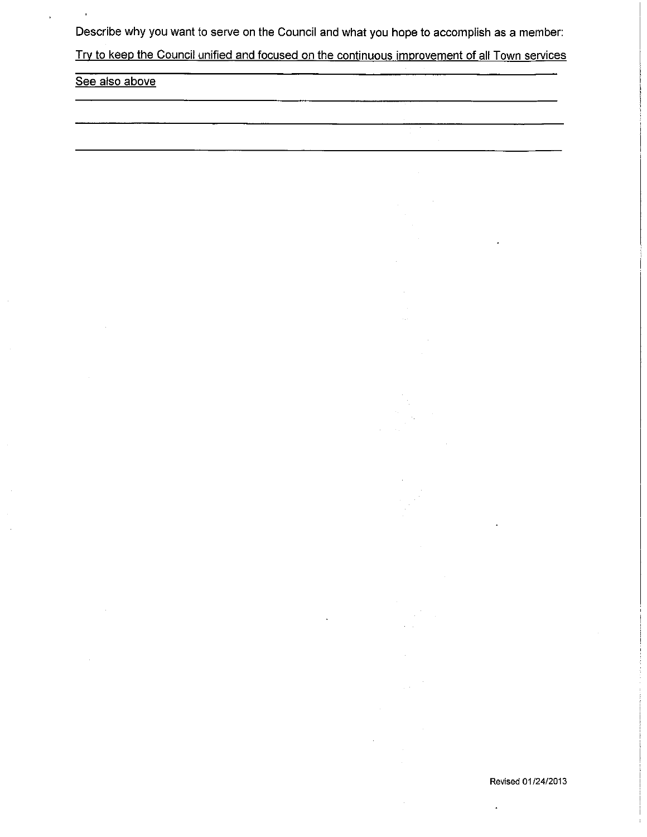Describe why you want to serve on the Council and what you hope to accomplish as a member:

Try to keep the Council unified and focused on the continuous improvement of all Town services

| See also above |  |
|----------------|--|
|                |  |

J,

 $\ddot{\phantom{0}}$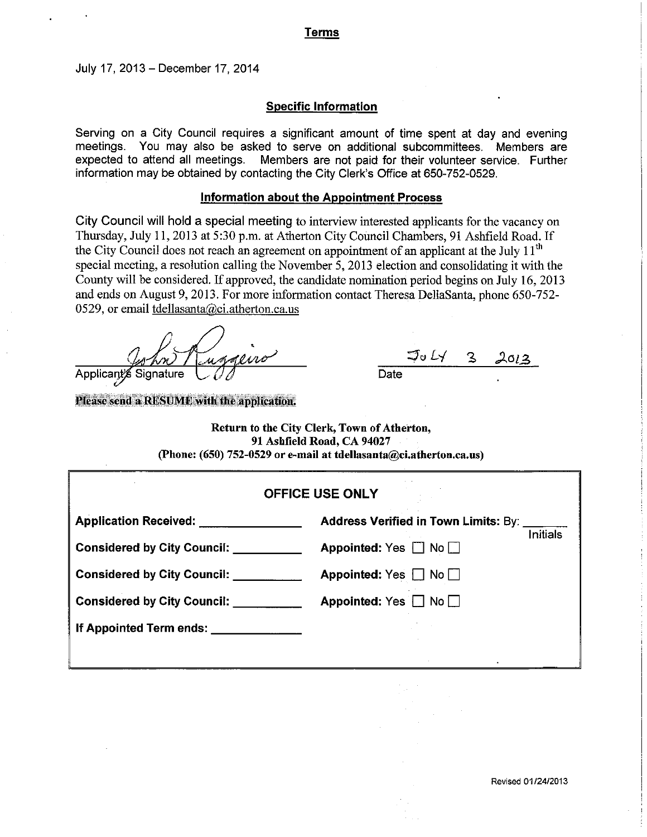## Terms

July 17, 2013 - December 17, 2014

#### **Specific Information**

Serving on a City Council requires a significant amount of time spent at day and evening meetings. You may also be asked to serve on additional subcommittees. Members are expected to attend all meetings. Members are not paid for their volunteer service. Further information may be obtained by contacting the City Clerk's Office at 650-752-0529.

### **Information about the Appointment Process**

City Council will hold a special meeting to interview interested applicants for the vacancy on Thursday, July 11, 2013 at 5:30 p.m. at Atherton City Council Chambers, 91 Ashfield Road. If the City Council does not reach an agreement on appointment of an applicant at the July  $11<sup>th</sup>$ special meeting, a resolution calling the November 5, 2013 election and consolidating it with the County will be considered. If approved, the candidate nomination period begins on July 16, 2013 and ends on August 9, 2013. For more information contact Theresa DellaSanta, phone 650-752-0529, or email tdellasanta@ci.atherton.ca.us

underro Applicant Signature

Please send a RESUME with the application.

Date

Return to the City Clerk, Town of Atherton, 91 Ashfield Road, CA 94027 (Phone: (650) 752-0529 or e-mail at tdellasanta@ci.atherton.ca.us)

| <b>OFFICE USE ONLY</b>             |                                                         |  |
|------------------------------------|---------------------------------------------------------|--|
| <b>Application Received:</b>       | Address Verified in Town Limits: By:                    |  |
| <b>Considered by City Council:</b> | <b>Initials</b><br>Appointed: $Yes \Box$<br>$No$ $\Box$ |  |
| <b>Considered by City Council:</b> | Appointed: Yes $\Box$ No $\Box$                         |  |
| <b>Considered by City Council:</b> | Appointed: Yes $\Box$ No $\Box$                         |  |
| If Appointed Term ends:            |                                                         |  |
|                                    |                                                         |  |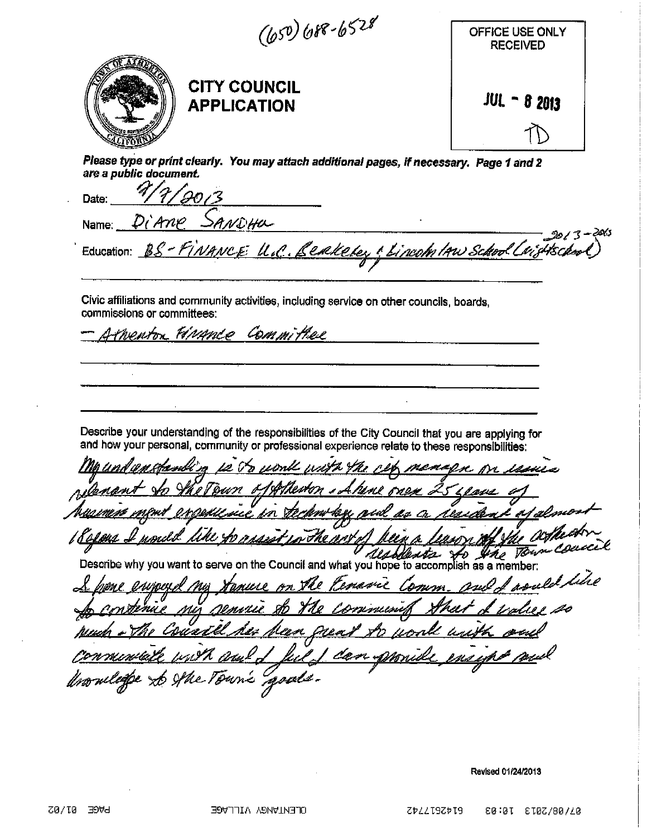$(b50) b88 - b528$ OFFICE USE ONLY **RECEIVED CITY COUNCIL**  $JUL - 82013$ **APPLICATION** Please type or print clearly. You may attach additional pages, if necessary. Page 1 and 2 are a public document. 4 Date: DiAne SANDHU Name: 20CS Education: BS - FINANCE U.C. Benkeley ! Lincoln IAW School Chi Civic affiliations and community activities, including service on other councils, boards, commissions or committees: thenton Hirance Committee  $\bar{z}$ Describe your understanding of the responsibilities of the City Council that you are applying for and how your personal, community or professional experience relate to these responsibilities: ft weert 4hr r reno ensullsue r The may blesse to the Town Co Ald Describe why you want to serve on the Council and what you hope to accomplish as a member: roald like 'emarne muie 7k e Comm A-n ru anno  $\partial u$ k J Carri 4 the Town's goods.

Revised 01/24/2013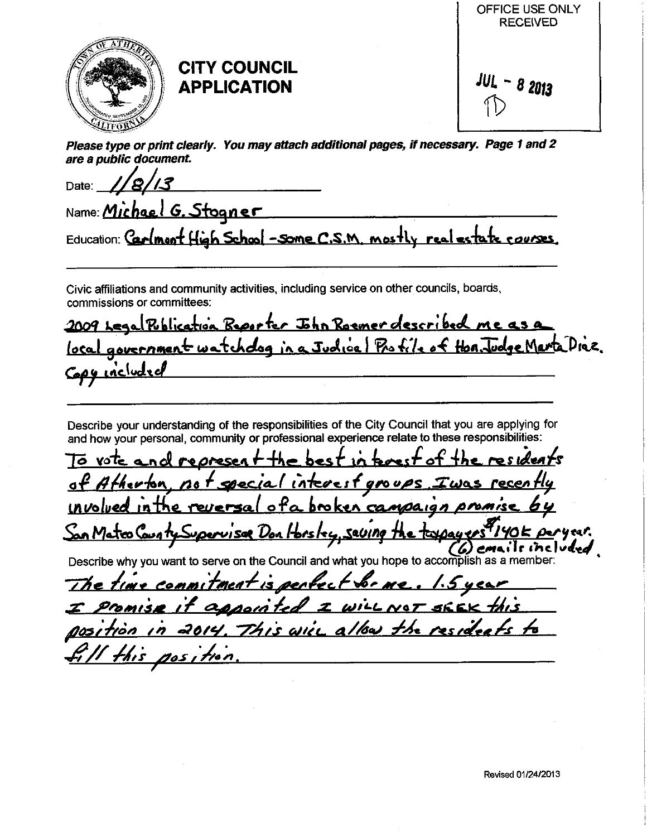

# **CITY COUNCIL APPLICATION**

 $JUL - 82013$ 

OFFICE USE ONLY **RECEIVED** 

Please type or print clearly. You may attach additional pages, if necessary. Page 1 and 2 are a public document.

Date: Name: Michael G. Stogner Education: Carlmont High School - some C.S.M. mostly real estate courses.

Civic affiliations and community activities, including service on other councils, boards, commissions or committees:

Publication Reporter John Roemer described me as a 2009 Leaa government watchdog in a Judical Profile of Hon, Judge Marta Diaz. <u>loca</u> Capy included

Describe your understanding of the responsibilities of the City Council that you are applying for and how your personal, community or professional experience relate to these responsibilities:

To vote nd represer best 1  $\sigma f$   $A$ ح وحداها interest io n  $000$ involved in the reversal of a bro ken  $CAMOA$ 19 $n$ OMMISE San Mateo County Superviser Don Horsley, seving the toxiquers 40k peryear. Describe why you want to serve on the Council and what you hope to accomplish as a member.

tment is perfects The time commi b e <u>IOT SEEK</u> Daoin: Promisæ the resident  $7515$   $\omega$ 705 i tion